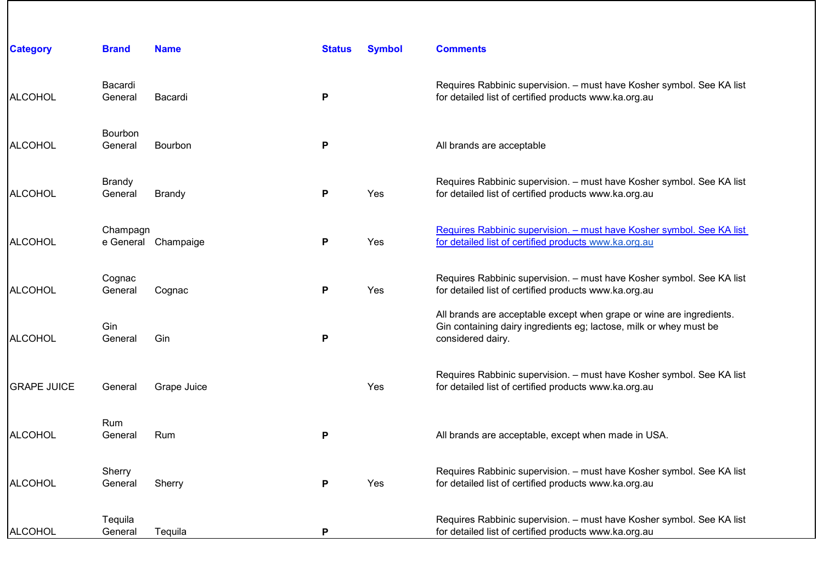| <b>Category</b>    | <b>Brand</b>             | <b>Name</b>         | <b>Status</b> | <b>Symbol</b> | <b>Comments</b>                                                                                                                                                 |
|--------------------|--------------------------|---------------------|---------------|---------------|-----------------------------------------------------------------------------------------------------------------------------------------------------------------|
| <b>ALCOHOL</b>     | Bacardi<br>General       | Bacardi             | P             |               | Requires Rabbinic supervision. - must have Kosher symbol. See KA list<br>for detailed list of certified products www.ka.org.au                                  |
| <b>ALCOHOL</b>     | Bourbon<br>General       | Bourbon             | P             |               | All brands are acceptable                                                                                                                                       |
| <b>ALCOHOL</b>     | <b>Brandy</b><br>General | <b>Brandy</b>       | P             | Yes           | Requires Rabbinic supervision. - must have Kosher symbol. See KA list<br>for detailed list of certified products www.ka.org.au                                  |
| <b>ALCOHOL</b>     | Champagn                 | e General Champaige | P             | Yes           | Requires Rabbinic supervision. - must have Kosher symbol. See KA list<br>for detailed list of certified products www.ka.org.au                                  |
| <b>ALCOHOL</b>     | Cognac<br>General        | Cognac              | P             | Yes           | Requires Rabbinic supervision. - must have Kosher symbol. See KA list<br>for detailed list of certified products www.ka.org.au                                  |
| <b>ALCOHOL</b>     | Gin<br>General           | Gin                 | Ρ             |               | All brands are acceptable except when grape or wine are ingredients.<br>Gin containing dairy ingredients eg; lactose, milk or whey must be<br>considered dairy. |
| <b>GRAPE JUICE</b> | General                  | Grape Juice         |               | <b>Yes</b>    | Requires Rabbinic supervision. - must have Kosher symbol. See KA list<br>for detailed list of certified products www.ka.org.au                                  |
| <b>ALCOHOL</b>     | Rum<br>General           | Rum                 | P             |               | All brands are acceptable, except when made in USA.                                                                                                             |
| <b>ALCOHOL</b>     | Sherry<br>General        | Sherry              | P             | Yes           | Requires Rabbinic supervision. - must have Kosher symbol. See KA list<br>for detailed list of certified products www.ka.org.au                                  |
| ALCOHOL            | Tequila<br>General       | Tequila             | P             |               | Requires Rabbinic supervision. - must have Kosher symbol. See KA list<br>for detailed list of certified products www.ka.org.au                                  |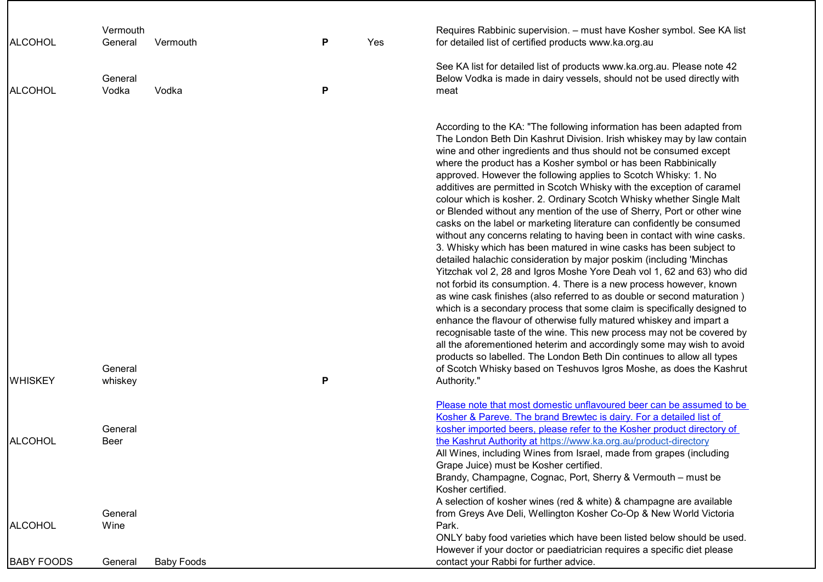| ALCOHOL           | Vermouth<br>General | Vermouth          | P | Yes | Requires Rabbinic supervision. - must have Kosher symbol. See KA list<br>for detailed list of certified products www.ka.org.au                                                                                                                                                                                                                                                                                                                                                                                                                                                                                                                                                                                                                                                                                                                                                                                                                                                                                                                                                                                                                                                                                                                                                                                                                                                                                                                                                                                                                                                                |
|-------------------|---------------------|-------------------|---|-----|-----------------------------------------------------------------------------------------------------------------------------------------------------------------------------------------------------------------------------------------------------------------------------------------------------------------------------------------------------------------------------------------------------------------------------------------------------------------------------------------------------------------------------------------------------------------------------------------------------------------------------------------------------------------------------------------------------------------------------------------------------------------------------------------------------------------------------------------------------------------------------------------------------------------------------------------------------------------------------------------------------------------------------------------------------------------------------------------------------------------------------------------------------------------------------------------------------------------------------------------------------------------------------------------------------------------------------------------------------------------------------------------------------------------------------------------------------------------------------------------------------------------------------------------------------------------------------------------------|
| ALCOHOL           | General<br>Vodka    | Vodka             | P |     | See KA list for detailed list of products www.ka.org.au. Please note 42<br>Below Vodka is made in dairy vessels, should not be used directly with<br>meat                                                                                                                                                                                                                                                                                                                                                                                                                                                                                                                                                                                                                                                                                                                                                                                                                                                                                                                                                                                                                                                                                                                                                                                                                                                                                                                                                                                                                                     |
| <b>WHISKEY</b>    | General<br>whiskey  |                   | P |     | According to the KA: "The following information has been adapted from<br>The London Beth Din Kashrut Division. Irish whiskey may by law contain<br>wine and other ingredients and thus should not be consumed except<br>where the product has a Kosher symbol or has been Rabbinically<br>approved. However the following applies to Scotch Whisky: 1. No<br>additives are permitted in Scotch Whisky with the exception of caramel<br>colour which is kosher. 2. Ordinary Scotch Whisky whether Single Malt<br>or Blended without any mention of the use of Sherry, Port or other wine<br>casks on the label or marketing literature can confidently be consumed<br>without any concerns relating to having been in contact with wine casks.<br>3. Whisky which has been matured in wine casks has been subject to<br>detailed halachic consideration by major poskim (including 'Minchas<br>Yitzchak vol 2, 28 and Igros Moshe Yore Deah vol 1, 62 and 63) who did<br>not forbid its consumption. 4. There is a new process however, known<br>as wine cask finishes (also referred to as double or second maturation)<br>which is a secondary process that some claim is specifically designed to<br>enhance the flavour of otherwise fully matured whiskey and impart a<br>recognisable taste of the wine. This new process may not be covered by<br>all the aforementioned heterim and accordingly some may wish to avoid<br>products so labelled. The London Beth Din continues to allow all types<br>of Scotch Whisky based on Teshuvos Igros Moshe, as does the Kashrut<br>Authority." |
|                   |                     |                   |   |     | Please note that most domestic unflavoured beer can be assumed to be<br>Kosher & Pareve. The brand Brewtec is dairy. For a detailed list of                                                                                                                                                                                                                                                                                                                                                                                                                                                                                                                                                                                                                                                                                                                                                                                                                                                                                                                                                                                                                                                                                                                                                                                                                                                                                                                                                                                                                                                   |
| <b>ALCOHOL</b>    | General<br>Beer     |                   |   |     | kosher imported beers, please refer to the Kosher product directory of<br>the Kashrut Authority at https://www.ka.org.au/product-directory<br>All Wines, including Wines from Israel, made from grapes (including<br>Grape Juice) must be Kosher certified.<br>Brandy, Champagne, Cognac, Port, Sherry & Vermouth - must be                                                                                                                                                                                                                                                                                                                                                                                                                                                                                                                                                                                                                                                                                                                                                                                                                                                                                                                                                                                                                                                                                                                                                                                                                                                                   |
|                   | General             |                   |   |     | Kosher certified.<br>A selection of kosher wines (red & white) & champagne are available<br>from Greys Ave Deli, Wellington Kosher Co-Op & New World Victoria                                                                                                                                                                                                                                                                                                                                                                                                                                                                                                                                                                                                                                                                                                                                                                                                                                                                                                                                                                                                                                                                                                                                                                                                                                                                                                                                                                                                                                 |
| <b>ALCOHOL</b>    | Wine                |                   |   |     | Park.<br>ONLY baby food varieties which have been listed below should be used.<br>However if your doctor or paediatrician requires a specific diet please                                                                                                                                                                                                                                                                                                                                                                                                                                                                                                                                                                                                                                                                                                                                                                                                                                                                                                                                                                                                                                                                                                                                                                                                                                                                                                                                                                                                                                     |
| <b>BABY FOODS</b> | General             | <b>Baby Foods</b> |   |     | contact your Rabbi for further advice.                                                                                                                                                                                                                                                                                                                                                                                                                                                                                                                                                                                                                                                                                                                                                                                                                                                                                                                                                                                                                                                                                                                                                                                                                                                                                                                                                                                                                                                                                                                                                        |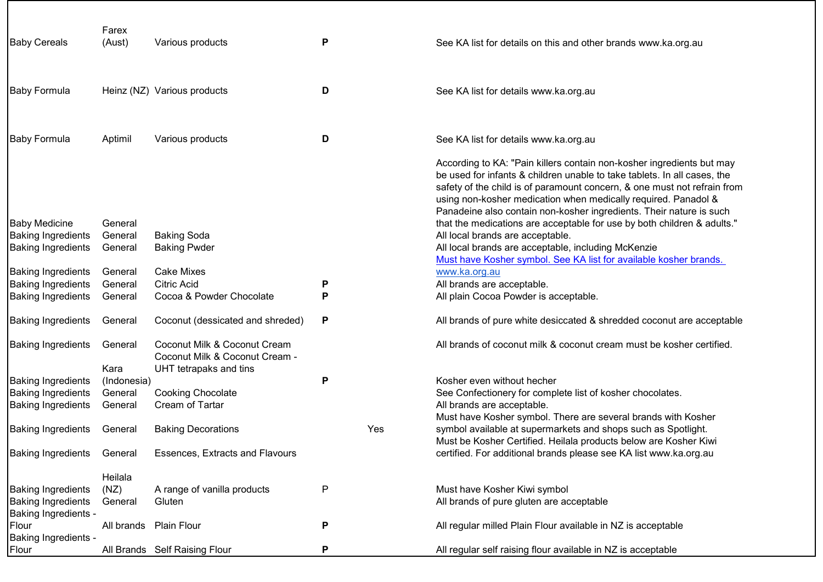| <b>Baby Cereals</b>       | Farex<br>(Aust)    | Various products                                                                         | Ρ |     | See KA list for details on this and other brands www.ka.org.au                                                                                                                                                                                                                                                                                                         |
|---------------------------|--------------------|------------------------------------------------------------------------------------------|---|-----|------------------------------------------------------------------------------------------------------------------------------------------------------------------------------------------------------------------------------------------------------------------------------------------------------------------------------------------------------------------------|
| <b>Baby Formula</b>       |                    | Heinz (NZ) Various products                                                              | D |     | See KA list for details www.ka.org.au                                                                                                                                                                                                                                                                                                                                  |
| <b>Baby Formula</b>       | Aptimil            | Various products                                                                         | D |     | See KA list for details www.ka.org.au                                                                                                                                                                                                                                                                                                                                  |
| <b>Baby Medicine</b>      |                    |                                                                                          |   |     | According to KA: "Pain killers contain non-kosher ingredients but may<br>be used for infants & children unable to take tablets. In all cases, the<br>safety of the child is of paramount concern, & one must not refrain from<br>using non-kosher medication when medically required. Panadol &<br>Panadeine also contain non-kosher ingredients. Their nature is such |
| <b>Baking Ingredients</b> | General<br>General | <b>Baking Soda</b>                                                                       |   |     | that the medications are acceptable for use by both children & adults."<br>All local brands are acceptable.                                                                                                                                                                                                                                                            |
| <b>Baking Ingredients</b> | General            | <b>Baking Pwder</b>                                                                      |   |     | All local brands are acceptable, including McKenzie<br>Must have Kosher symbol. See KA list for available kosher brands.                                                                                                                                                                                                                                               |
| <b>Baking Ingredients</b> | General            | <b>Cake Mixes</b>                                                                        |   |     | www.ka.org.au                                                                                                                                                                                                                                                                                                                                                          |
| <b>Baking Ingredients</b> | General            | <b>Citric Acid</b>                                                                       | P |     | All brands are acceptable.                                                                                                                                                                                                                                                                                                                                             |
| <b>Baking Ingredients</b> | General            | Cocoa & Powder Chocolate                                                                 | P |     | All plain Cocoa Powder is acceptable.                                                                                                                                                                                                                                                                                                                                  |
| <b>Baking Ingredients</b> | General            | Coconut (dessicated and shreded)                                                         | P |     | All brands of pure white desiccated & shredded coconut are acceptable                                                                                                                                                                                                                                                                                                  |
| <b>Baking Ingredients</b> | General<br>Kara    | Coconut Milk & Coconut Cream<br>Coconut Milk & Coconut Cream -<br>UHT tetrapaks and tins |   |     | All brands of coconut milk & coconut cream must be kosher certified.                                                                                                                                                                                                                                                                                                   |
| <b>Baking Ingredients</b> | (Indonesia)        |                                                                                          | Ρ |     | Kosher even without hecher                                                                                                                                                                                                                                                                                                                                             |
| <b>Baking Ingredients</b> | General            | <b>Cooking Chocolate</b>                                                                 |   |     | See Confectionery for complete list of kosher chocolates.                                                                                                                                                                                                                                                                                                              |
| <b>Baking Ingredients</b> | General            | Cream of Tartar                                                                          |   |     | All brands are acceptable.                                                                                                                                                                                                                                                                                                                                             |
| <b>Baking Ingredients</b> | General            | <b>Baking Decorations</b>                                                                |   | Yes | Must have Kosher symbol. There are several brands with Kosher<br>symbol available at supermarkets and shops such as Spotlight.                                                                                                                                                                                                                                         |
|                           |                    |                                                                                          |   |     | Must be Kosher Certified. Heilala products below are Kosher Kiwi                                                                                                                                                                                                                                                                                                       |
| <b>Baking Ingredients</b> | General            | <b>Essences, Extracts and Flavours</b>                                                   |   |     | certified. For additional brands please see KA list www.ka.org.au                                                                                                                                                                                                                                                                                                      |
|                           | Heilala            |                                                                                          |   |     |                                                                                                                                                                                                                                                                                                                                                                        |
| <b>Baking Ingredients</b> | (NZ)               | A range of vanilla products                                                              | P |     | Must have Kosher Kiwi symbol                                                                                                                                                                                                                                                                                                                                           |
| <b>Baking Ingredients</b> | General            | Gluten                                                                                   |   |     | All brands of pure gluten are acceptable                                                                                                                                                                                                                                                                                                                               |
| Baking Ingredients -      |                    |                                                                                          |   |     |                                                                                                                                                                                                                                                                                                                                                                        |
| Flour                     | All brands         | <b>Plain Flour</b>                                                                       | Ρ |     | All regular milled Plain Flour available in NZ is acceptable                                                                                                                                                                                                                                                                                                           |
| Baking Ingredients -      |                    |                                                                                          |   |     |                                                                                                                                                                                                                                                                                                                                                                        |
| Flour                     |                    | All Brands Self Raising Flour                                                            | Ρ |     | All regular self raising flour available in NZ is acceptable                                                                                                                                                                                                                                                                                                           |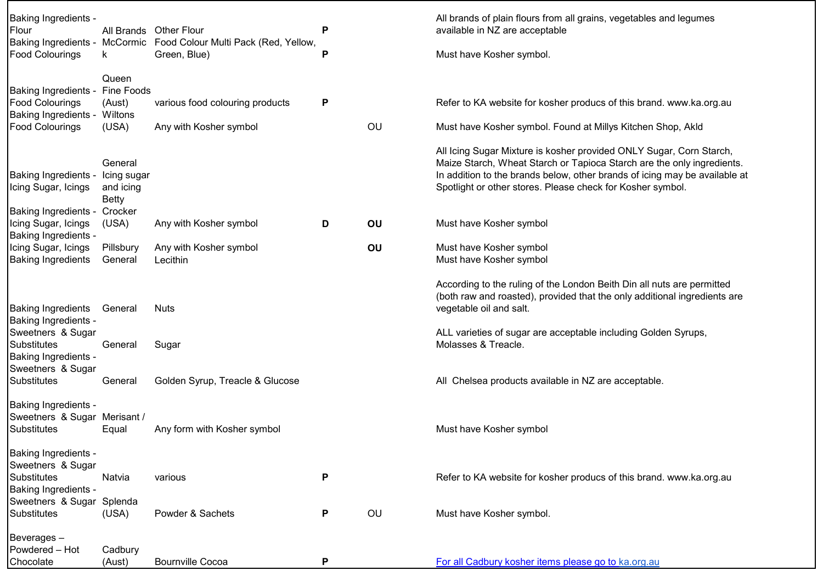| Must have Kosher symbol.                                                                                                                                                                                                                                                                  |
|-------------------------------------------------------------------------------------------------------------------------------------------------------------------------------------------------------------------------------------------------------------------------------------------|
| Refer to KA website for kosher producs of this brand. www.ka.org.au<br>Must have Kosher symbol. Found at Millys Kitchen Shop, Akld                                                                                                                                                        |
| All Icing Sugar Mixture is kosher provided ONLY Sugar, Corn Starch,<br>Maize Starch, Wheat Starch or Tapioca Starch are the only ingredients.<br>In addition to the brands below, other brands of icing may be available at<br>Spotlight or other stores. Please check for Kosher symbol. |
| Must have Kosher symbol                                                                                                                                                                                                                                                                   |
| Must have Kosher symbol<br>Must have Kosher symbol                                                                                                                                                                                                                                        |
| According to the ruling of the London Beith Din all nuts are permitted<br>(both raw and roasted), provided that the only additional ingredients are<br>vegetable oil and salt.                                                                                                            |
| ALL varieties of sugar are acceptable including Golden Syrups,<br>Molasses & Treacle.                                                                                                                                                                                                     |
| All Chelsea products available in NZ are acceptable.                                                                                                                                                                                                                                      |
| Must have Kosher symbol                                                                                                                                                                                                                                                                   |
| Refer to KA website for kosher producs of this brand. www.ka.org.au                                                                                                                                                                                                                       |
| Must have Kosher symbol.                                                                                                                                                                                                                                                                  |
| For all Cadbury kosher items please go to ka.org.au                                                                                                                                                                                                                                       |
|                                                                                                                                                                                                                                                                                           |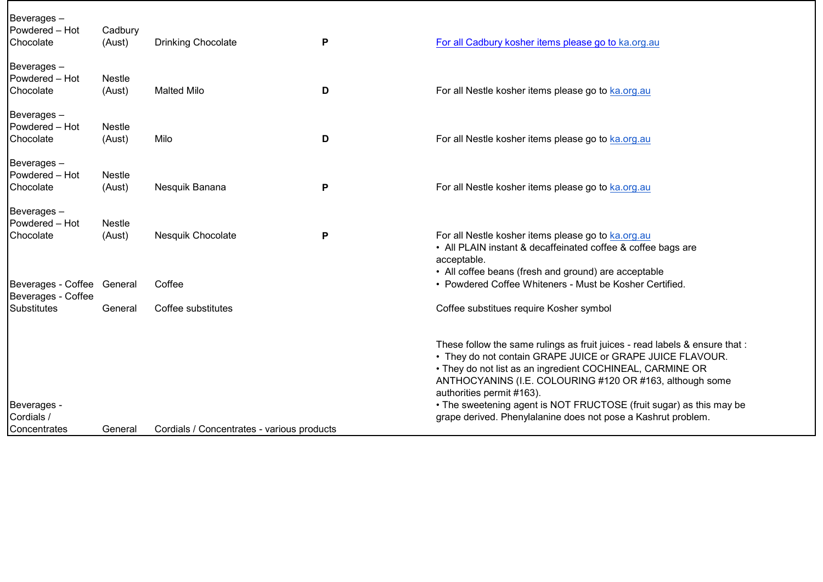| Beverages-<br>Powdered - Hot<br>Chocolate        | Cadbury<br>(Aust)       | <b>Drinking Chocolate</b>                  | Ρ | For all Cadbury kosher items please go to ka.org.au                                                                                                                                                                                                                                                                                                                                                                                    |
|--------------------------------------------------|-------------------------|--------------------------------------------|---|----------------------------------------------------------------------------------------------------------------------------------------------------------------------------------------------------------------------------------------------------------------------------------------------------------------------------------------------------------------------------------------------------------------------------------------|
| Beverages-<br>Powdered - Hot<br>Chocolate        | Nestle<br>(Aust)        | <b>Malted Milo</b>                         | D | For all Nestle kosher items please go to ka.org.au                                                                                                                                                                                                                                                                                                                                                                                     |
| Beverages-<br>Powdered - Hot<br>Chocolate        | <b>Nestle</b><br>(Aust) | Milo                                       | D | For all Nestle kosher items please go to ka.org.au                                                                                                                                                                                                                                                                                                                                                                                     |
| Beverages-<br>Powdered - Hot<br>Chocolate        | Nestle<br>(Aust)        | Nesquik Banana                             | P | For all Nestle kosher items please go to ka.org.au                                                                                                                                                                                                                                                                                                                                                                                     |
| Beverages-<br>Powdered - Hot<br>Chocolate        | <b>Nestle</b><br>(Aust) | Nesquik Chocolate                          | Ρ | For all Nestle kosher items please go to ka.org.au<br>• All PLAIN instant & decaffeinated coffee & coffee bags are<br>acceptable.                                                                                                                                                                                                                                                                                                      |
| Beverages - Coffee General<br>Beverages - Coffee |                         | Coffee                                     |   | • All coffee beans (fresh and ground) are acceptable<br>• Powdered Coffee Whiteners - Must be Kosher Certified.                                                                                                                                                                                                                                                                                                                        |
| <b>Substitutes</b>                               | General                 | Coffee substitutes                         |   | Coffee substitues require Kosher symbol                                                                                                                                                                                                                                                                                                                                                                                                |
| Beverages -<br>Cordials /<br>Concentrates        | General                 | Cordials / Concentrates - various products |   | These follow the same rulings as fruit juices - read labels & ensure that :<br>• They do not contain GRAPE JUICE or GRAPE JUICE FLAVOUR.<br>. They do not list as an ingredient COCHINEAL, CARMINE OR<br>ANTHOCYANINS (I.E. COLOURING #120 OR #163, although some<br>authorities permit #163).<br>• The sweetening agent is NOT FRUCTOSE (fruit sugar) as this may be<br>grape derived. Phenylalanine does not pose a Kashrut problem. |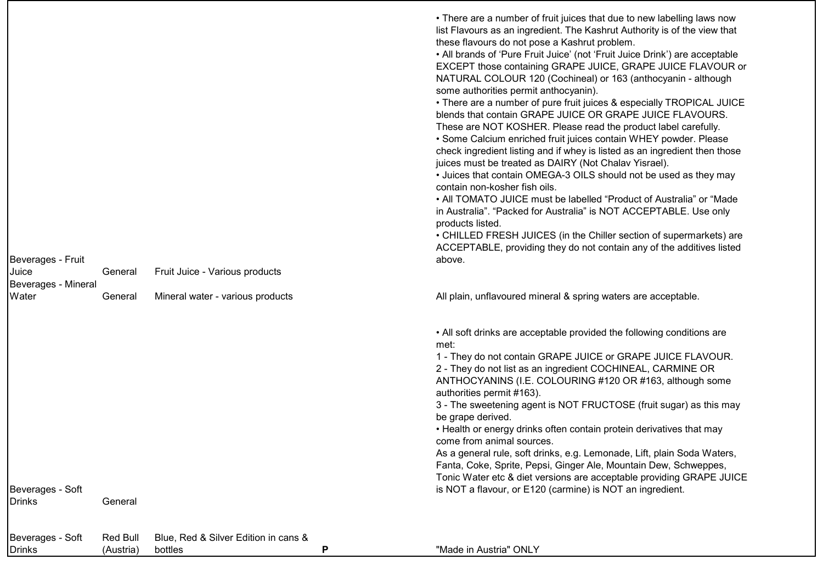| Beverages - Fruit                 |                              |                                                 |   | • There are a number of fruit juices that due to new labelling laws now<br>list Flavours as an ingredient. The Kashrut Authority is of the view that<br>these flavours do not pose a Kashrut problem.<br>• All brands of 'Pure Fruit Juice' (not 'Fruit Juice Drink') are acceptable<br>EXCEPT those containing GRAPE JUICE, GRAPE JUICE FLAVOUR or<br>NATURAL COLOUR 120 (Cochineal) or 163 (anthocyanin - although<br>some authorities permit anthocyanin).<br>• There are a number of pure fruit juices & especially TROPICAL JUICE<br>blends that contain GRAPE JUICE OR GRAPE JUICE FLAVOURS.<br>These are NOT KOSHER. Please read the product label carefully.<br>• Some Calcium enriched fruit juices contain WHEY powder. Please<br>check ingredient listing and if whey is listed as an ingredient then those<br>juices must be treated as DAIRY (Not Chalav Yisrael).<br>• Juices that contain OMEGA-3 OILS should not be used as they may<br>contain non-kosher fish oils.<br>• All TOMATO JUICE must be labelled "Product of Australia" or "Made<br>in Australia". "Packed for Australia" is NOT ACCEPTABLE. Use only<br>products listed.<br>• CHILLED FRESH JUICES (in the Chiller section of supermarkets) are<br>ACCEPTABLE, providing they do not contain any of the additives listed<br>above. |
|-----------------------------------|------------------------------|-------------------------------------------------|---|-----------------------------------------------------------------------------------------------------------------------------------------------------------------------------------------------------------------------------------------------------------------------------------------------------------------------------------------------------------------------------------------------------------------------------------------------------------------------------------------------------------------------------------------------------------------------------------------------------------------------------------------------------------------------------------------------------------------------------------------------------------------------------------------------------------------------------------------------------------------------------------------------------------------------------------------------------------------------------------------------------------------------------------------------------------------------------------------------------------------------------------------------------------------------------------------------------------------------------------------------------------------------------------------------------------------|
| Juice                             | General                      | Fruit Juice - Various products                  |   |                                                                                                                                                                                                                                                                                                                                                                                                                                                                                                                                                                                                                                                                                                                                                                                                                                                                                                                                                                                                                                                                                                                                                                                                                                                                                                                 |
| Beverages - Mineral               |                              |                                                 |   |                                                                                                                                                                                                                                                                                                                                                                                                                                                                                                                                                                                                                                                                                                                                                                                                                                                                                                                                                                                                                                                                                                                                                                                                                                                                                                                 |
| Water                             | General                      | Mineral water - various products                |   | All plain, unflavoured mineral & spring waters are acceptable.                                                                                                                                                                                                                                                                                                                                                                                                                                                                                                                                                                                                                                                                                                                                                                                                                                                                                                                                                                                                                                                                                                                                                                                                                                                  |
| Beverages - Soft<br>Drinks        | General                      |                                                 |   | • All soft drinks are acceptable provided the following conditions are<br>met:<br>1 - They do not contain GRAPE JUICE or GRAPE JUICE FLAVOUR.<br>2 - They do not list as an ingredient COCHINEAL, CARMINE OR<br>ANTHOCYANINS (I.E. COLOURING #120 OR #163, although some<br>authorities permit #163).<br>3 - The sweetening agent is NOT FRUCTOSE (fruit sugar) as this may<br>be grape derived.<br>• Health or energy drinks often contain protein derivatives that may<br>come from animal sources.<br>As a general rule, soft drinks, e.g. Lemonade, Lift, plain Soda Waters,<br>Fanta, Coke, Sprite, Pepsi, Ginger Ale, Mountain Dew, Schweppes,<br>Tonic Water etc & diet versions are acceptable providing GRAPE JUICE<br>is NOT a flavour, or E120 (carmine) is NOT an ingredient.                                                                                                                                                                                                                                                                                                                                                                                                                                                                                                                       |
|                                   |                              |                                                 |   |                                                                                                                                                                                                                                                                                                                                                                                                                                                                                                                                                                                                                                                                                                                                                                                                                                                                                                                                                                                                                                                                                                                                                                                                                                                                                                                 |
| Beverages - Soft<br><b>Drinks</b> | <b>Red Bull</b><br>(Austria) | Blue, Red & Silver Edition in cans &<br>bottles | P | "Made in Austria" ONLY                                                                                                                                                                                                                                                                                                                                                                                                                                                                                                                                                                                                                                                                                                                                                                                                                                                                                                                                                                                                                                                                                                                                                                                                                                                                                          |
|                                   |                              |                                                 |   |                                                                                                                                                                                                                                                                                                                                                                                                                                                                                                                                                                                                                                                                                                                                                                                                                                                                                                                                                                                                                                                                                                                                                                                                                                                                                                                 |

 $\mathcal{L}_{\mathcal{A}}$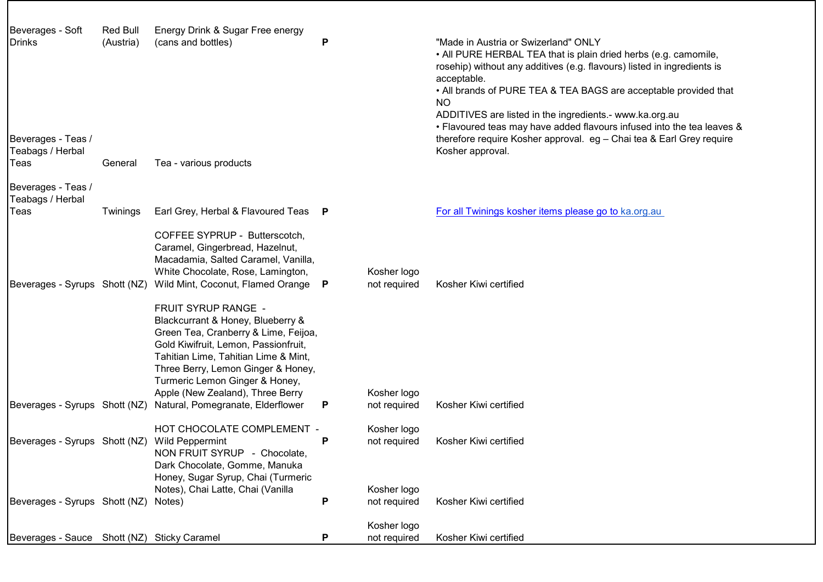| Beverages - Soft<br><b>Drinks</b>           | <b>Red Bull</b><br>(Austria) | Energy Drink & Sugar Free energy<br>(cans and bottles)                                                                                                                                                                                                                                       | Ρ |                             | "Made in Austria or Swizerland" ONLY<br>• All PURE HERBAL TEA that is plain dried herbs (e.g. camomile,<br>rosehip) without any additives (e.g. flavours) listed in ingredients is<br>acceptable.                                                                                          |
|---------------------------------------------|------------------------------|----------------------------------------------------------------------------------------------------------------------------------------------------------------------------------------------------------------------------------------------------------------------------------------------|---|-----------------------------|--------------------------------------------------------------------------------------------------------------------------------------------------------------------------------------------------------------------------------------------------------------------------------------------|
| Beverages - Teas /                          |                              |                                                                                                                                                                                                                                                                                              |   |                             | • All brands of PURE TEA & TEA BAGS are acceptable provided that<br><b>NO</b><br>ADDITIVES are listed in the ingredients.- www.ka.org.au<br>. Flavoured teas may have added flavours infused into the tea leaves &<br>therefore require Kosher approval. eg - Chai tea & Earl Grey require |
| Teabags / Herbal                            |                              |                                                                                                                                                                                                                                                                                              |   |                             | Kosher approval.                                                                                                                                                                                                                                                                           |
| Teas                                        | General                      | Tea - various products                                                                                                                                                                                                                                                                       |   |                             |                                                                                                                                                                                                                                                                                            |
| Beverages - Teas /<br>Teabags / Herbal      |                              |                                                                                                                                                                                                                                                                                              |   |                             |                                                                                                                                                                                                                                                                                            |
| Teas                                        | Twinings                     | Earl Grey, Herbal & Flavoured Teas P                                                                                                                                                                                                                                                         |   |                             | For all Twinings kosher items please go to ka.org.au                                                                                                                                                                                                                                       |
| Beverages - Syrups Shott (NZ)               |                              | COFFEE SYPRUP - Butterscotch,<br>Caramel, Gingerbread, Hazelnut,<br>Macadamia, Salted Caramel, Vanilla,<br>White Chocolate, Rose, Lamington,<br>Wild Mint, Coconut, Flamed Orange                                                                                                            | P | Kosher logo<br>not required | Kosher Kiwi certified                                                                                                                                                                                                                                                                      |
|                                             |                              | FRUIT SYRUP RANGE -<br>Blackcurrant & Honey, Blueberry &<br>Green Tea, Cranberry & Lime, Feijoa,<br>Gold Kiwifruit, Lemon, Passionfruit,<br>Tahitian Lime, Tahitian Lime & Mint,<br>Three Berry, Lemon Ginger & Honey,<br>Turmeric Lemon Ginger & Honey,<br>Apple (New Zealand), Three Berry |   | Kosher logo                 |                                                                                                                                                                                                                                                                                            |
| Beverages - Syrups Shott (NZ)               |                              | Natural, Pomegranate, Elderflower                                                                                                                                                                                                                                                            | P | not required                | Kosher Kiwi certified                                                                                                                                                                                                                                                                      |
| Beverages - Syrups Shott (NZ)               |                              | HOT CHOCOLATE COMPLEMENT -<br><b>Wild Peppermint</b><br>NON FRUIT SYRUP - Chocolate,                                                                                                                                                                                                         | P | Kosher logo<br>not required | Kosher Kiwi certified                                                                                                                                                                                                                                                                      |
| Beverages - Syrups Shott (NZ)               |                              | Dark Chocolate, Gomme, Manuka<br>Honey, Sugar Syrup, Chai (Turmeric<br>Notes), Chai Latte, Chai (Vanilla<br>Notes)                                                                                                                                                                           | P | Kosher logo<br>not required | Kosher Kiwi certified                                                                                                                                                                                                                                                                      |
| Beverages - Sauce Shott (NZ) Sticky Caramel |                              |                                                                                                                                                                                                                                                                                              | P | Kosher logo<br>not required | Kosher Kiwi certified                                                                                                                                                                                                                                                                      |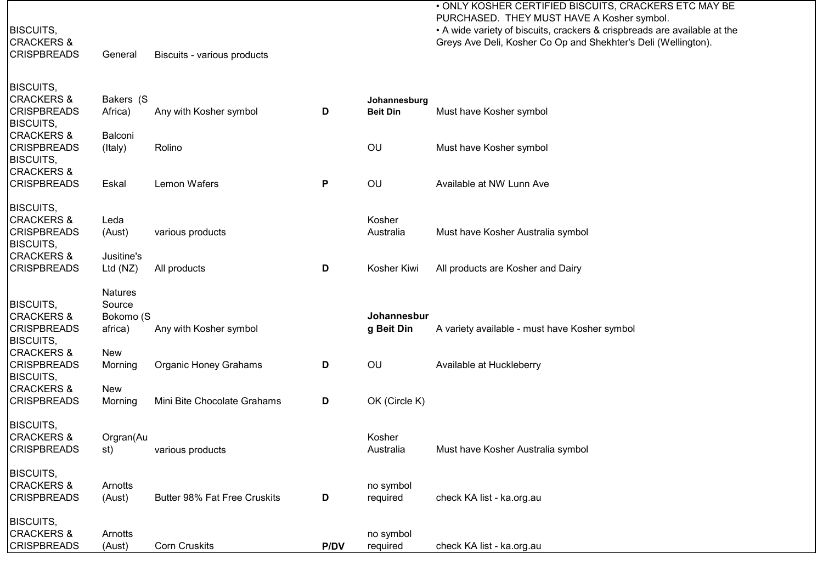BISCUITS,

CRACKERS &<br>CRISPBREADS

General Biscuits - various products

• ONLY KOSHER CERTIFIED BISCUITS, CRACKERS ETC MAY BE PURCHASED. THEY MUST HAVE A Kosher symbol. • A wide variety of biscuits, crackers & crispbreads are available at the Greys Ave Deli, Kosher Co Op and Shekhter's Deli (Wellington).

| <b>BISCUITS,</b>                          |                |                                     |             |                 |                                               |
|-------------------------------------------|----------------|-------------------------------------|-------------|-----------------|-----------------------------------------------|
| <b>CRACKERS &amp;</b>                     | Bakers (S      |                                     |             | Johannesburg    |                                               |
| <b>CRISPBREADS</b>                        | Africa)        | Any with Kosher symbol              | D           | <b>Beit Din</b> | Must have Kosher symbol                       |
| <b>BISCUITS,</b><br><b>CRACKERS &amp;</b> | Balconi        |                                     |             |                 |                                               |
| <b>CRISPBREADS</b>                        | (Italy)        | Rolino                              |             | OU              | Must have Kosher symbol                       |
| <b>BISCUITS,</b>                          |                |                                     |             |                 |                                               |
| <b>CRACKERS &amp;</b>                     |                |                                     |             |                 |                                               |
| <b>CRISPBREADS</b>                        | Eskal          | Lemon Wafers                        | P           | OU              | Available at NW Lunn Ave                      |
| <b>BISCUITS,</b>                          |                |                                     |             |                 |                                               |
| <b>CRACKERS &amp;</b>                     | Leda           |                                     |             | Kosher          |                                               |
| <b>CRISPBREADS</b>                        | (Aust)         | various products                    |             | Australia       | Must have Kosher Australia symbol             |
| <b>BISCUITS,</b>                          |                |                                     |             |                 |                                               |
| <b>CRACKERS &amp;</b>                     | Jusitine's     |                                     |             |                 |                                               |
| <b>CRISPBREADS</b>                        | Ltd (NZ)       | All products                        | D           | Kosher Kiwi     | All products are Kosher and Dairy             |
|                                           | <b>Natures</b> |                                     |             |                 |                                               |
| <b>BISCUITS,</b>                          | Source         |                                     |             |                 |                                               |
| <b>CRACKERS &amp;</b>                     | Bokomo (S      |                                     |             | Johannesbur     |                                               |
| <b>CRISPBREADS</b>                        | africa)        | Any with Kosher symbol              |             | g Beit Din      | A variety available - must have Kosher symbol |
| <b>BISCUITS,</b>                          |                |                                     |             |                 |                                               |
| <b>CRACKERS &amp;</b>                     | <b>New</b>     |                                     |             |                 |                                               |
| <b>CRISPBREADS</b>                        | Morning        | <b>Organic Honey Grahams</b>        | D           | OU              | Available at Huckleberry                      |
| <b>BISCUITS,</b><br><b>CRACKERS &amp;</b> | <b>New</b>     |                                     |             |                 |                                               |
| <b>CRISPBREADS</b>                        | Morning        | Mini Bite Chocolate Grahams         | D           | OK (Circle K)   |                                               |
|                                           |                |                                     |             |                 |                                               |
| <b>BISCUITS,</b>                          |                |                                     |             |                 |                                               |
| <b>CRACKERS &amp;</b>                     | Orgran(Au      |                                     |             | Kosher          |                                               |
| <b>CRISPBREADS</b>                        | st)            | various products                    |             | Australia       | Must have Kosher Australia symbol             |
| <b>BISCUITS,</b>                          |                |                                     |             |                 |                                               |
| <b>CRACKERS &amp;</b>                     | Arnotts        |                                     |             | no symbol       |                                               |
| <b>CRISPBREADS</b>                        | (Aust)         | <b>Butter 98% Fat Free Cruskits</b> | D           | required        | check KA list - ka.org.au                     |
|                                           |                |                                     |             |                 |                                               |
| <b>BISCUITS,</b>                          |                |                                     |             |                 |                                               |
| <b>CRACKERS &amp;</b>                     | Arnotts        |                                     | <b>P/DV</b> | no symbol       |                                               |
| <b>CRISPBREADS</b>                        | (Aust)         | <b>Corn Cruskits</b>                |             | required        | check KA list - ka.org.au                     |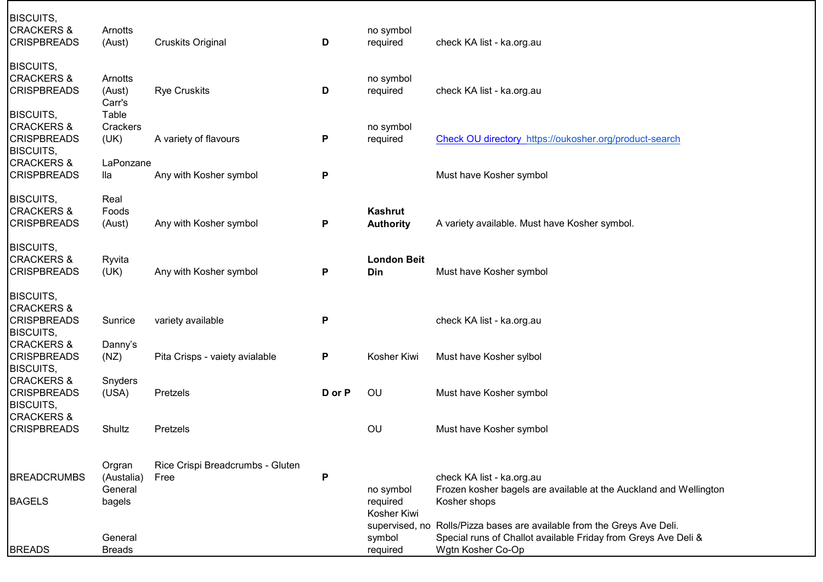| <b>BISCUITS,</b><br><b>CRACKERS &amp;</b><br><b>CRISPBREADS</b>                     | Arnotts<br>(Aust)           | <b>Cruskits Original</b>         | D         | no symbol<br>required                | check KA list - ka.org.au                                                                                                                       |
|-------------------------------------------------------------------------------------|-----------------------------|----------------------------------|-----------|--------------------------------------|-------------------------------------------------------------------------------------------------------------------------------------------------|
| <b>BISCUITS,</b><br><b>CRACKERS &amp;</b><br><b>CRISPBREADS</b>                     | Arnotts<br>(Aust)<br>Carr's | <b>Rye Cruskits</b>              | D         | no symbol<br>required                | check KA list - ka.org.au                                                                                                                       |
| <b>BISCUITS,</b>                                                                    | Table                       |                                  |           |                                      |                                                                                                                                                 |
| <b>CRACKERS &amp;</b><br><b>CRISPBREADS</b><br><b>BISCUITS,</b>                     | Crackers<br>(UK)            | A variety of flavours            | P         | no symbol<br>required                | Check OU directory https://oukosher.org/product-search                                                                                          |
| <b>CRACKERS &amp;</b>                                                               | LaPonzane                   |                                  |           |                                      |                                                                                                                                                 |
| <b>CRISPBREADS</b>                                                                  | lla                         | Any with Kosher symbol           | P         |                                      | Must have Kosher symbol                                                                                                                         |
| <b>BISCUITS,</b>                                                                    | Real                        |                                  |           |                                      |                                                                                                                                                 |
| <b>CRACKERS &amp;</b><br><b>CRISPBREADS</b>                                         | Foods<br>(Aust)             | Any with Kosher symbol           | P         | <b>Kashrut</b><br><b>Authority</b>   | A variety available. Must have Kosher symbol.                                                                                                   |
| <b>BISCUITS,</b><br><b>CRACKERS &amp;</b><br><b>CRISPBREADS</b>                     | Ryvita<br>(UK)              | Any with Kosher symbol           | P         | <b>London Beit</b><br>Din            | Must have Kosher symbol                                                                                                                         |
| <b>BISCUITS,</b><br><b>CRACKERS &amp;</b><br><b>CRISPBREADS</b><br><b>BISCUITS,</b> | Sunrice                     | variety available                | P         |                                      | check KA list - ka.org.au                                                                                                                       |
| <b>CRACKERS &amp;</b><br><b>CRISPBREADS</b><br><b>BISCUITS,</b>                     | Danny's<br>(NZ)             | Pita Crisps - vaiety avialable   | P         | Kosher Kiwi                          | Must have Kosher sylbol                                                                                                                         |
| <b>CRACKERS &amp;</b><br><b>CRISPBREADS</b><br><b>BISCUITS,</b>                     | Snyders<br>(USA)            | Pretzels                         | D or P    | OU                                   | Must have Kosher symbol                                                                                                                         |
| <b>CRACKERS &amp;</b><br><b>CRISPBREADS</b>                                         | Shultz                      | Pretzels                         |           | OU                                   | Must have Kosher symbol                                                                                                                         |
|                                                                                     | Orgran                      | Rice Crispi Breadcrumbs - Gluten | ${\sf P}$ |                                      |                                                                                                                                                 |
| <b>BREADCRUMBS</b>                                                                  | (Austalia)<br>General       | Free                             |           | no symbol                            | check KA list - ka.org.au<br>Frozen kosher bagels are available at the Auckland and Wellington                                                  |
| <b>BAGELS</b>                                                                       | bagels                      |                                  |           | required<br>Kosher Kiwi              | Kosher shops                                                                                                                                    |
| <b>BREADS</b>                                                                       | General<br><b>Breads</b>    |                                  |           | supervised, no<br>symbol<br>required | Rolls/Pizza bases are available from the Greys Ave Deli.<br>Special runs of Challot available Friday from Greys Ave Deli &<br>Wgtn Kosher Co-Op |
|                                                                                     |                             |                                  |           |                                      |                                                                                                                                                 |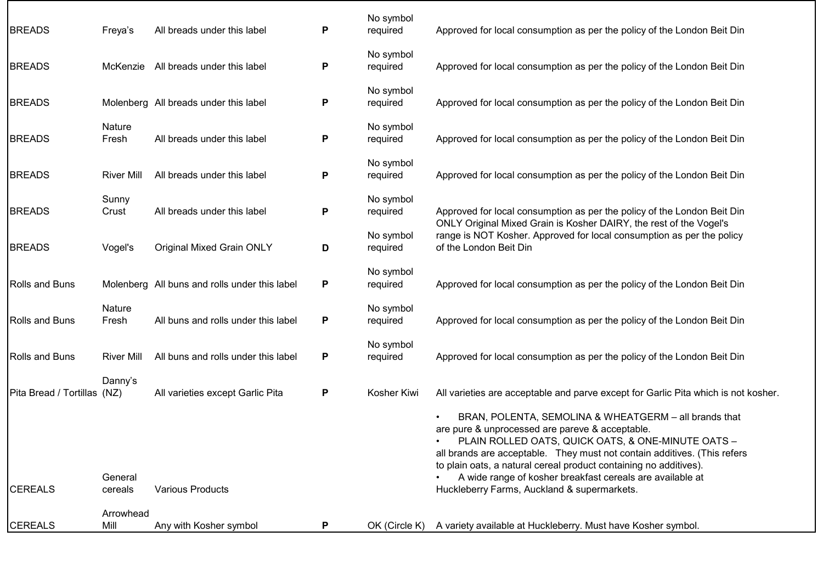| <b>BREADS</b>               | Freya's            | All breads under this label                   | P | No symbol<br>required | Approved for local consumption as per the policy of the London Beit Din                                                                                                                                                                                                                                                                                                                                                     |
|-----------------------------|--------------------|-----------------------------------------------|---|-----------------------|-----------------------------------------------------------------------------------------------------------------------------------------------------------------------------------------------------------------------------------------------------------------------------------------------------------------------------------------------------------------------------------------------------------------------------|
| <b>BREADS</b>               |                    | McKenzie All breads under this label          | Ρ | No symbol<br>required | Approved for local consumption as per the policy of the London Beit Din                                                                                                                                                                                                                                                                                                                                                     |
| <b>BREADS</b>               |                    | Molenberg All breads under this label         | P | No symbol<br>required | Approved for local consumption as per the policy of the London Beit Din                                                                                                                                                                                                                                                                                                                                                     |
| <b>BREADS</b>               | Nature<br>Fresh    | All breads under this label                   | P | No symbol<br>required | Approved for local consumption as per the policy of the London Beit Din                                                                                                                                                                                                                                                                                                                                                     |
| <b>BREADS</b>               | <b>River Mill</b>  | All breads under this label                   | P | No symbol<br>required | Approved for local consumption as per the policy of the London Beit Din                                                                                                                                                                                                                                                                                                                                                     |
| <b>BREADS</b>               | Sunny<br>Crust     | All breads under this label                   | P | No symbol<br>required | Approved for local consumption as per the policy of the London Beit Din                                                                                                                                                                                                                                                                                                                                                     |
| <b>BREADS</b>               | Vogel's            | <b>Original Mixed Grain ONLY</b>              | D | No symbol<br>required | ONLY Original Mixed Grain is Kosher DAIRY, the rest of the Vogel's<br>range is NOT Kosher. Approved for local consumption as per the policy<br>of the London Beit Din                                                                                                                                                                                                                                                       |
| <b>Rolls and Buns</b>       |                    | Molenberg All buns and rolls under this label | P | No symbol<br>required | Approved for local consumption as per the policy of the London Beit Din                                                                                                                                                                                                                                                                                                                                                     |
| <b>Rolls and Buns</b>       | Nature<br>Fresh    | All buns and rolls under this label           | P | No symbol<br>required | Approved for local consumption as per the policy of the London Beit Din                                                                                                                                                                                                                                                                                                                                                     |
| Rolls and Buns              | <b>River Mill</b>  | All buns and rolls under this label           | P | No symbol<br>required | Approved for local consumption as per the policy of the London Beit Din                                                                                                                                                                                                                                                                                                                                                     |
| Pita Bread / Tortillas (NZ) | Danny's            | All varieties except Garlic Pita              | P | Kosher Kiwi           | All varieties are acceptable and parve except for Garlic Pita which is not kosher.                                                                                                                                                                                                                                                                                                                                          |
| <b>CEREALS</b>              | General<br>cereals | <b>Various Products</b>                       |   |                       | BRAN, POLENTA, SEMOLINA & WHEATGERM - all brands that<br>are pure & unprocessed are pareve & acceptable.<br>PLAIN ROLLED OATS, QUICK OATS, & ONE-MINUTE OATS -<br>all brands are acceptable. They must not contain additives. (This refers<br>to plain oats, a natural cereal product containing no additives).<br>A wide range of kosher breakfast cereals are available at<br>Huckleberry Farms, Auckland & supermarkets. |
| <b>CEREALS</b>              | Arrowhead<br>Mill  | Any with Kosher symbol                        | P | OK (Circle K)         | A variety available at Huckleberry. Must have Kosher symbol.                                                                                                                                                                                                                                                                                                                                                                |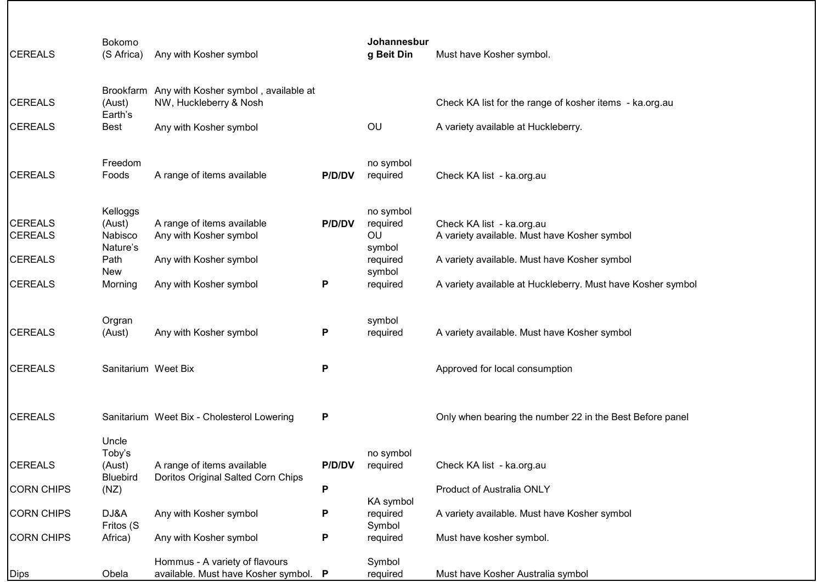| <b>CEREALS</b>                   | Bokomo<br>(S Africa)                      | Any with Kosher symbol                                                   |        | Johannesbur<br>g Beit Din             | Must have Kosher symbol.                                                  |
|----------------------------------|-------------------------------------------|--------------------------------------------------------------------------|--------|---------------------------------------|---------------------------------------------------------------------------|
| <b>CEREALS</b>                   | (Aust)<br>Earth's                         | Brookfarm Any with Kosher symbol, available at<br>NW, Huckleberry & Nosh |        |                                       | Check KA list for the range of kosher items - ka.org.au                   |
| <b>CEREALS</b>                   | Best                                      | Any with Kosher symbol                                                   |        | OU                                    | A variety available at Huckleberry.                                       |
| <b>CEREALS</b>                   | Freedom<br>Foods                          | A range of items available                                               | P/D/DV | no symbol<br>required                 | Check KA list - ka.org.au                                                 |
| <b>CEREALS</b><br><b>CEREALS</b> | Kelloggs<br>(Aust)<br>Nabisco<br>Nature's | A range of items available<br>Any with Kosher symbol                     | P/D/DV | no symbol<br>required<br>OU<br>symbol | Check KA list - ka.org.au<br>A variety available. Must have Kosher symbol |
| <b>CEREALS</b>                   | Path<br><b>New</b>                        | Any with Kosher symbol                                                   |        | required<br>symbol                    | A variety available. Must have Kosher symbol                              |
| <b>CEREALS</b>                   | Morning                                   | Any with Kosher symbol                                                   | P      | required                              | A variety available at Huckleberry. Must have Kosher symbol               |
| <b>CEREALS</b>                   | Orgran<br>(Aust)                          | Any with Kosher symbol                                                   | P      | symbol<br>required                    | A variety available. Must have Kosher symbol                              |
| <b>CEREALS</b>                   | Sanitarium Weet Bix                       |                                                                          | P      |                                       | Approved for local consumption                                            |
| <b>CEREALS</b>                   | Uncle                                     | Sanitarium Weet Bix - Cholesterol Lowering                               | P      |                                       | Only when bearing the number 22 in the Best Before panel                  |
| <b>CEREALS</b>                   | Toby's<br>(Aust)<br><b>Bluebird</b>       | A range of items available<br>Doritos Original Salted Corn Chips         | P/D/DV | no symbol<br>required                 | Check KA list - ka.org.au                                                 |
| <b>CORN CHIPS</b>                | (NZ)                                      |                                                                          | P      |                                       | Product of Australia ONLY                                                 |
| <b>CORN CHIPS</b>                | DJ&A<br>Fritos (S                         | Any with Kosher symbol                                                   | P      | KA symbol<br>required<br>Symbol       | A variety available. Must have Kosher symbol                              |
| <b>CORN CHIPS</b>                | Africa)                                   | Any with Kosher symbol                                                   | P      | required                              | Must have kosher symbol.                                                  |
| <b>Dips</b>                      | Obela                                     | Hommus - A variety of flavours<br>available. Must have Kosher symbol. P  |        | Symbol<br>required                    | Must have Kosher Australia symbol                                         |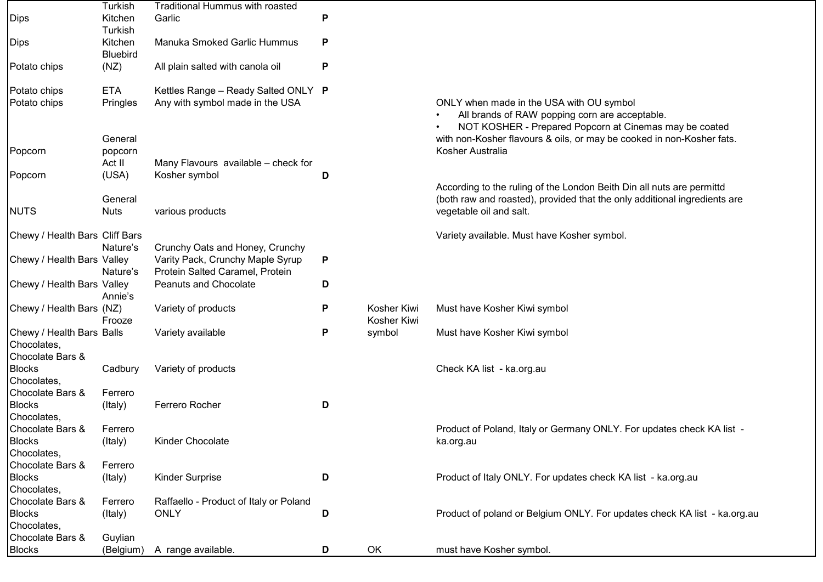| <b>Dips</b>                                                  | Turkish<br>Kitchen<br>Turkish | Traditional Hummus with roasted<br>Garlic                           | P |                            |                                                                                                                                                                               |
|--------------------------------------------------------------|-------------------------------|---------------------------------------------------------------------|---|----------------------------|-------------------------------------------------------------------------------------------------------------------------------------------------------------------------------|
| <b>Dips</b>                                                  | Kitchen<br><b>Bluebird</b>    | Manuka Smoked Garlic Hummus                                         | P |                            |                                                                                                                                                                               |
| Potato chips                                                 | (NZ)                          | All plain salted with canola oil                                    | P |                            |                                                                                                                                                                               |
| Potato chips                                                 | <b>ETA</b>                    | Kettles Range - Ready Salted ONLY P                                 |   |                            |                                                                                                                                                                               |
| Potato chips                                                 | Pringles                      | Any with symbol made in the USA                                     |   |                            | ONLY when made in the USA with OU symbol<br>All brands of RAW popping corn are acceptable.<br>NOT KOSHER - Prepared Popcorn at Cinemas may be coated                          |
| Popcorn                                                      | General<br>popcorn            |                                                                     |   |                            | with non-Kosher flavours & oils, or may be cooked in non-Kosher fats.<br>Kosher Australia                                                                                     |
| Popcorn                                                      | Act II<br>(USA)               | Many Flavours available - check for<br>Kosher symbol                | D |                            |                                                                                                                                                                               |
| <b>NUTS</b>                                                  | General<br><b>Nuts</b>        | various products                                                    |   |                            | According to the ruling of the London Beith Din all nuts are permittd<br>(both raw and roasted), provided that the only additional ingredients are<br>vegetable oil and salt. |
|                                                              |                               |                                                                     |   |                            |                                                                                                                                                                               |
| Chewy / Health Bars Cliff Bars                               | Nature's                      | Crunchy Oats and Honey, Crunchy                                     |   |                            | Variety available. Must have Kosher symbol.                                                                                                                                   |
| Chewy / Health Bars Valley                                   | Nature's                      | Varity Pack, Crunchy Maple Syrup<br>Protein Salted Caramel, Protein | P |                            |                                                                                                                                                                               |
| Chewy / Health Bars Valley                                   | Annie's                       | <b>Peanuts and Chocolate</b>                                        | D |                            |                                                                                                                                                                               |
| Chewy / Health Bars (NZ)                                     | Frooze                        | Variety of products                                                 | P | Kosher Kiwi<br>Kosher Kiwi | Must have Kosher Kiwi symbol                                                                                                                                                  |
| Chewy / Health Bars Balls<br>Chocolates,<br>Chocolate Bars & |                               | Variety available                                                   | P | symbol                     | Must have Kosher Kiwi symbol                                                                                                                                                  |
| <b>Blocks</b><br>Chocolates,                                 | Cadbury                       | Variety of products                                                 |   |                            | Check KA list - ka.org.au                                                                                                                                                     |
| Chocolate Bars &                                             | Ferrero                       |                                                                     |   |                            |                                                                                                                                                                               |
| <b>Blocks</b><br>Chocolates,                                 | (Italy)                       | Ferrero Rocher                                                      | D |                            |                                                                                                                                                                               |
| Chocolate Bars &                                             | Ferrero                       |                                                                     |   |                            | Product of Poland, Italy or Germany ONLY. For updates check KA list -                                                                                                         |
| <b>Blocks</b><br>Chocolates,                                 | (Italy)                       | Kinder Chocolate                                                    |   |                            | ka.org.au                                                                                                                                                                     |
| Chocolate Bars &                                             | Ferrero                       |                                                                     |   |                            |                                                                                                                                                                               |
| <b>Blocks</b><br>Chocolates,                                 | (Italy)                       | <b>Kinder Surprise</b>                                              | D |                            | Product of Italy ONLY. For updates check KA list - ka.org.au                                                                                                                  |
| Chocolate Bars &                                             | Ferrero                       | Raffaello - Product of Italy or Poland                              |   |                            |                                                                                                                                                                               |
| <b>Blocks</b><br>Chocolates,                                 | (Italy)                       | <b>ONLY</b>                                                         | D |                            | Product of poland or Belgium ONLY. For updates check KA list - ka.org.au                                                                                                      |
| Chocolate Bars &                                             | Guylian                       |                                                                     |   |                            |                                                                                                                                                                               |
| <b>Blocks</b>                                                | (Belgium)                     | A range available.                                                  | D | OK                         | must have Kosher symbol.                                                                                                                                                      |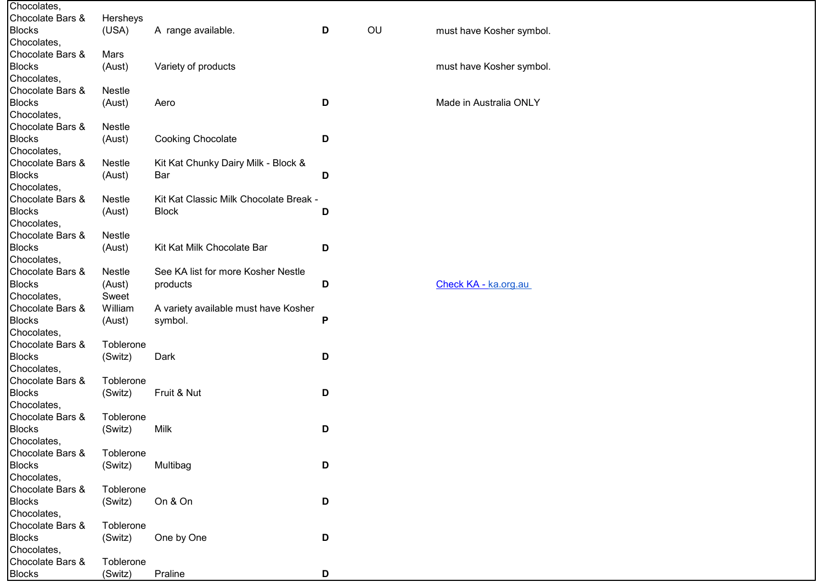| Chocolates,      |               |                                        |   |    |                          |
|------------------|---------------|----------------------------------------|---|----|--------------------------|
| Chocolate Bars & | Hersheys      |                                        |   |    |                          |
| <b>Blocks</b>    | (USA)         | A range available.                     | D | OU | must have Kosher symbol. |
| Chocolates,      |               |                                        |   |    |                          |
| Chocolate Bars & | Mars          |                                        |   |    |                          |
| <b>Blocks</b>    | (Aust)        | Variety of products                    |   |    | must have Kosher symbol. |
| Chocolates,      |               |                                        |   |    |                          |
| Chocolate Bars & | <b>Nestle</b> |                                        |   |    |                          |
| <b>Blocks</b>    | (Aust)        | Aero                                   | D |    | Made in Australia ONLY   |
| Chocolates,      |               |                                        |   |    |                          |
| Chocolate Bars & | Nestle        |                                        |   |    |                          |
| <b>Blocks</b>    | (Aust)        | <b>Cooking Chocolate</b>               | D |    |                          |
| Chocolates,      |               |                                        |   |    |                          |
| Chocolate Bars & | Nestle        |                                        |   |    |                          |
|                  |               | Kit Kat Chunky Dairy Milk - Block &    |   |    |                          |
| <b>Blocks</b>    | (Aust)        | Bar                                    | D |    |                          |
| Chocolates,      |               |                                        |   |    |                          |
| Chocolate Bars & | <b>Nestle</b> | Kit Kat Classic Milk Chocolate Break - |   |    |                          |
| <b>Blocks</b>    | (Aust)        | <b>Block</b>                           | D |    |                          |
| Chocolates,      |               |                                        |   |    |                          |
| Chocolate Bars & | <b>Nestle</b> |                                        |   |    |                          |
| <b>Blocks</b>    | (Aust)        | Kit Kat Milk Chocolate Bar             | D |    |                          |
| Chocolates,      |               |                                        |   |    |                          |
| Chocolate Bars & | <b>Nestle</b> | See KA list for more Kosher Nestle     |   |    |                          |
| <b>Blocks</b>    | (Aust)        | products                               | D |    | Check KA - ka.org.au     |
| Chocolates,      | Sweet         |                                        |   |    |                          |
| Chocolate Bars & | William       | A variety available must have Kosher   |   |    |                          |
| <b>Blocks</b>    | (Aust)        | symbol.                                | P |    |                          |
| Chocolates,      |               |                                        |   |    |                          |
| Chocolate Bars & | Toblerone     |                                        |   |    |                          |
| <b>Blocks</b>    | (Switz)       | Dark                                   | D |    |                          |
| Chocolates,      |               |                                        |   |    |                          |
| Chocolate Bars & | Toblerone     |                                        |   |    |                          |
| <b>Blocks</b>    | (Switz)       | Fruit & Nut                            | D |    |                          |
| Chocolates,      |               |                                        |   |    |                          |
| Chocolate Bars & | Toblerone     |                                        |   |    |                          |
| <b>Blocks</b>    | (Switz)       | Milk                                   | D |    |                          |
| Chocolates,      |               |                                        |   |    |                          |
| Chocolate Bars & | Toblerone     |                                        |   |    |                          |
| <b>Blocks</b>    | (Switz)       | Multibag                               | D |    |                          |
| Chocolates,      |               |                                        |   |    |                          |
| Chocolate Bars & | Toblerone     |                                        |   |    |                          |
| <b>Blocks</b>    | (Switz)       | On & On                                | D |    |                          |
| Chocolates,      |               |                                        |   |    |                          |
| Chocolate Bars & | Toblerone     |                                        |   |    |                          |
| <b>Blocks</b>    | (Switz)       | One by One                             | D |    |                          |
| Chocolates,      |               |                                        |   |    |                          |
| Chocolate Bars & | Toblerone     |                                        |   |    |                          |
| <b>Blocks</b>    | (Switz)       | Praline                                | D |    |                          |
|                  |               |                                        |   |    |                          |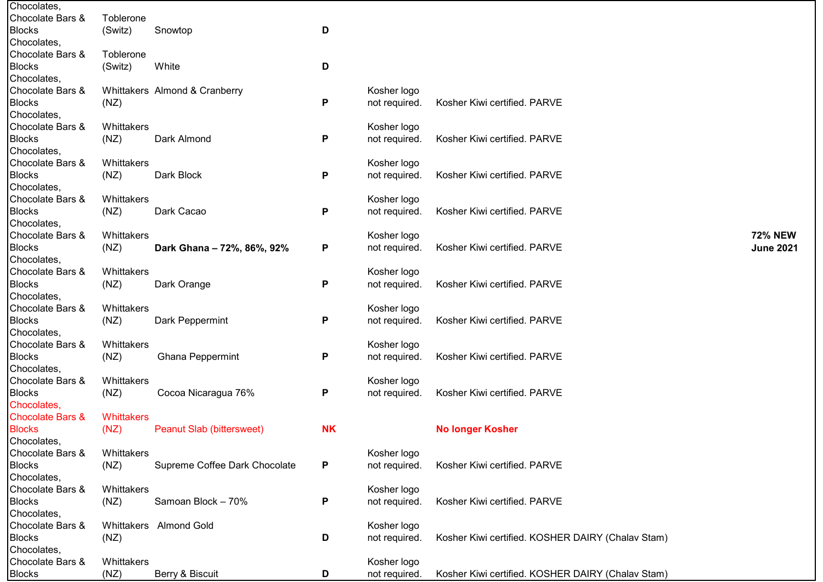| Chocolates,                 |            |                                  |           |               |                                                   |                  |
|-----------------------------|------------|----------------------------------|-----------|---------------|---------------------------------------------------|------------------|
| Chocolate Bars &            | Toblerone  |                                  |           |               |                                                   |                  |
| <b>Blocks</b>               | (Switz)    | Snowtop                          | D         |               |                                                   |                  |
| Chocolates,                 |            |                                  |           |               |                                                   |                  |
| Chocolate Bars &            | Toblerone  |                                  |           |               |                                                   |                  |
| <b>Blocks</b>               | (Switz)    | White                            | D         |               |                                                   |                  |
| Chocolates,                 |            |                                  |           |               |                                                   |                  |
| Chocolate Bars &            |            | Whittakers Almond & Cranberry    |           | Kosher logo   |                                                   |                  |
| <b>Blocks</b>               | (NZ)       |                                  | P         | not required. | Kosher Kiwi certified. PARVE                      |                  |
| Chocolates,                 |            |                                  |           |               |                                                   |                  |
| Chocolate Bars &            | Whittakers |                                  |           | Kosher logo   |                                                   |                  |
| <b>Blocks</b>               | (NZ)       | Dark Almond                      | P         | not required. | Kosher Kiwi certified. PARVE                      |                  |
| Chocolates,                 |            |                                  |           |               |                                                   |                  |
| Chocolate Bars &            | Whittakers |                                  |           | Kosher logo   |                                                   |                  |
| <b>Blocks</b>               | (NZ)       | Dark Block                       | P         | not required. | Kosher Kiwi certified. PARVE                      |                  |
| Chocolates,                 |            |                                  |           |               |                                                   |                  |
| Chocolate Bars &            |            |                                  |           |               |                                                   |                  |
|                             | Whittakers |                                  |           | Kosher logo   |                                                   |                  |
| <b>Blocks</b>               | (NZ)       | Dark Cacao                       | P         | not required. | Kosher Kiwi certified. PARVE                      |                  |
| Chocolates,                 |            |                                  |           |               |                                                   |                  |
| Chocolate Bars &            | Whittakers |                                  |           | Kosher logo   |                                                   | <b>72% NEW</b>   |
| <b>Blocks</b>               | (NZ)       | Dark Ghana - 72%, 86%, 92%       | P         | not required. | Kosher Kiwi certified. PARVE                      | <b>June 2021</b> |
| Chocolates,                 |            |                                  |           |               |                                                   |                  |
| Chocolate Bars &            | Whittakers |                                  |           | Kosher logo   |                                                   |                  |
| <b>Blocks</b>               | (NZ)       | Dark Orange                      | P         | not required. | Kosher Kiwi certified. PARVE                      |                  |
| Chocolates,                 |            |                                  |           |               |                                                   |                  |
| Chocolate Bars &            | Whittakers |                                  |           | Kosher logo   |                                                   |                  |
| <b>Blocks</b>               | (NZ)       | Dark Peppermint                  | P         | not required. | Kosher Kiwi certified. PARVE                      |                  |
| Chocolates,                 |            |                                  |           |               |                                                   |                  |
| Chocolate Bars &            | Whittakers |                                  |           | Kosher logo   |                                                   |                  |
| <b>Blocks</b>               | (NZ)       | <b>Ghana Peppermint</b>          | P         | not required. | Kosher Kiwi certified. PARVE                      |                  |
| Chocolates,                 |            |                                  |           |               |                                                   |                  |
| Chocolate Bars &            | Whittakers |                                  |           | Kosher logo   |                                                   |                  |
| <b>Blocks</b>               | (NZ)       | Cocoa Nicaragua 76%              | P         | not required. | Kosher Kiwi certified. PARVE                      |                  |
| Chocolates,                 |            |                                  |           |               |                                                   |                  |
| <b>Chocolate Bars &amp;</b> | Whittakers |                                  |           |               |                                                   |                  |
| <b>Blocks</b>               | (NZ)       | <b>Peanut Slab (bittersweet)</b> | <b>NK</b> |               | <b>No longer Kosher</b>                           |                  |
| Chocolates,                 |            |                                  |           |               |                                                   |                  |
| Chocolate Bars &            | Whittakers |                                  |           | Kosher logo   |                                                   |                  |
| <b>Blocks</b>               | (NZ)       | Supreme Coffee Dark Chocolate    | P         | not required. | Kosher Kiwi certified. PARVE                      |                  |
| Chocolates,                 |            |                                  |           |               |                                                   |                  |
| Chocolate Bars &            | Whittakers |                                  |           | Kosher logo   |                                                   |                  |
| <b>Blocks</b>               | (NZ)       | Samoan Block - 70%               | P         | not required. | Kosher Kiwi certified. PARVE                      |                  |
| Chocolates,                 |            |                                  |           |               |                                                   |                  |
| Chocolate Bars &            |            | Whittakers Almond Gold           |           | Kosher logo   |                                                   |                  |
| <b>Blocks</b>               | (NZ)       |                                  | D         | not required. | Kosher Kiwi certified. KOSHER DAIRY (Chalav Stam) |                  |
| Chocolates,                 |            |                                  |           |               |                                                   |                  |
| Chocolate Bars &            | Whittakers |                                  |           | Kosher logo   |                                                   |                  |
| <b>Blocks</b>               | (NZ)       | Berry & Biscuit                  | D         | not required. | Kosher Kiwi certified. KOSHER DAIRY (Chalav Stam) |                  |
|                             |            |                                  |           |               |                                                   |                  |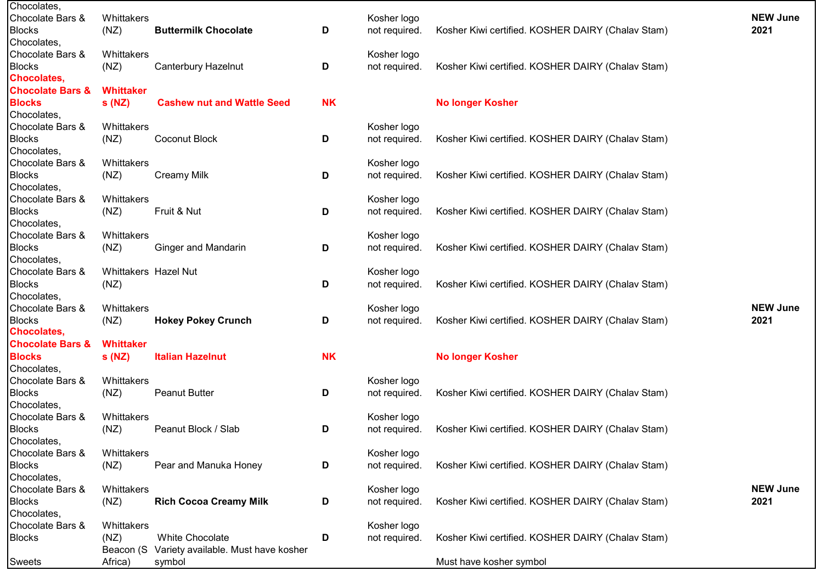| Chocolates,                 |                      |                                     |           |               |                                                   |                 |
|-----------------------------|----------------------|-------------------------------------|-----------|---------------|---------------------------------------------------|-----------------|
| Chocolate Bars &            | Whittakers           |                                     |           | Kosher logo   |                                                   | <b>NEW June</b> |
| <b>Blocks</b>               | (NZ)                 | <b>Buttermilk Chocolate</b>         | D         | not required. | Kosher Kiwi certified. KOSHER DAIRY (Chalav Stam) | 2021            |
| Chocolates,                 |                      |                                     |           |               |                                                   |                 |
| Chocolate Bars &            | Whittakers           |                                     |           | Kosher logo   |                                                   |                 |
| <b>Blocks</b>               | (NZ)                 | <b>Canterbury Hazelnut</b>          | D         | not required. | Kosher Kiwi certified. KOSHER DAIRY (Chalav Stam) |                 |
| <b>Chocolates,</b>          |                      |                                     |           |               |                                                   |                 |
| <b>Chocolate Bars &amp;</b> | <b>Whittaker</b>     |                                     |           |               |                                                   |                 |
| <b>Blocks</b>               | s(NZ)                | <b>Cashew nut and Wattle Seed</b>   | <b>NK</b> |               | <b>No longer Kosher</b>                           |                 |
| Chocolates,                 |                      |                                     |           |               |                                                   |                 |
| Chocolate Bars &            | Whittakers           |                                     |           | Kosher logo   |                                                   |                 |
| <b>Blocks</b>               | (NZ)                 | Coconut Block                       | D         | not required. | Kosher Kiwi certified. KOSHER DAIRY (Chalav Stam) |                 |
| Chocolates,                 |                      |                                     |           |               |                                                   |                 |
| Chocolate Bars &            | Whittakers           |                                     |           | Kosher logo   |                                                   |                 |
| <b>Blocks</b>               | (NZ)                 | <b>Creamy Milk</b>                  | D         | not required. | Kosher Kiwi certified. KOSHER DAIRY (Chalav Stam) |                 |
| Chocolates,                 |                      |                                     |           |               |                                                   |                 |
| Chocolate Bars &            | Whittakers           |                                     |           | Kosher logo   |                                                   |                 |
| <b>Blocks</b>               | (NZ)                 | Fruit & Nut                         | D         | not required. | Kosher Kiwi certified. KOSHER DAIRY (Chalav Stam) |                 |
| Chocolates,                 |                      |                                     |           |               |                                                   |                 |
| Chocolate Bars &            | Whittakers           |                                     |           | Kosher logo   |                                                   |                 |
| <b>Blocks</b>               | (NZ)                 | <b>Ginger and Mandarin</b>          | D         | not required. | Kosher Kiwi certified. KOSHER DAIRY (Chalav Stam) |                 |
| Chocolates,                 |                      |                                     |           |               |                                                   |                 |
| Chocolate Bars &            | Whittakers Hazel Nut |                                     |           | Kosher logo   |                                                   |                 |
| <b>Blocks</b>               | (NZ)                 |                                     | D         | not required. | Kosher Kiwi certified. KOSHER DAIRY (Chalav Stam) |                 |
| Chocolates,                 |                      |                                     |           |               |                                                   |                 |
| Chocolate Bars &            | Whittakers           |                                     |           | Kosher logo   |                                                   | <b>NEW June</b> |
| <b>Blocks</b>               | (NZ)                 | <b>Hokey Pokey Crunch</b>           | D         | not required. | Kosher Kiwi certified. KOSHER DAIRY (Chalav Stam) | 2021            |
| <b>Chocolates,</b>          |                      |                                     |           |               |                                                   |                 |
| <b>Chocolate Bars &amp;</b> | <b>Whittaker</b>     |                                     |           |               |                                                   |                 |
| <b>Blocks</b>               | s(NZ)                | <b>Italian Hazelnut</b>             | <b>NK</b> |               | <b>No longer Kosher</b>                           |                 |
| Chocolates,                 |                      |                                     |           |               |                                                   |                 |
| Chocolate Bars &            | Whittakers           |                                     |           | Kosher logo   |                                                   |                 |
| <b>Blocks</b>               | (NZ)                 | <b>Peanut Butter</b>                | D         | not required. | Kosher Kiwi certified. KOSHER DAIRY (Chalav Stam) |                 |
| Chocolates,                 |                      |                                     |           |               |                                                   |                 |
| Chocolate Bars &            | Whittakers           |                                     |           | Kosher logo   |                                                   |                 |
| <b>Blocks</b>               | (NZ)                 | Peanut Block / Slab                 |           | not required. | Kosher Kiwi certified. KOSHER DAIRY (Chalav Stam) |                 |
| Chocolates,                 |                      |                                     | D         |               |                                                   |                 |
| Chocolate Bars &            | Whittakers           |                                     |           | Kosher logo   |                                                   |                 |
|                             |                      |                                     |           |               |                                                   |                 |
| <b>Blocks</b>               | (NZ)                 | Pear and Manuka Honey               | D         | not required. | Kosher Kiwi certified. KOSHER DAIRY (Chalav Stam) |                 |
| Chocolates,                 |                      |                                     |           |               |                                                   |                 |
| Chocolate Bars &            | Whittakers           |                                     |           | Kosher logo   |                                                   | <b>NEW June</b> |
| <b>Blocks</b>               | (NZ)                 | <b>Rich Cocoa Creamy Milk</b>       | D         | not required. | Kosher Kiwi certified. KOSHER DAIRY (Chalav Stam) | 2021            |
| Chocolates,                 |                      |                                     |           |               |                                                   |                 |
| Chocolate Bars &            | Whittakers           |                                     |           | Kosher logo   |                                                   |                 |
| <b>Blocks</b>               | (NZ)                 | White Chocolate                     | D         | not required. | Kosher Kiwi certified. KOSHER DAIRY (Chalav Stam) |                 |
|                             | Beacon (S            | Variety available. Must have kosher |           |               |                                                   |                 |
| Sweets                      | Africa)              | symbol                              |           |               | Must have kosher symbol                           |                 |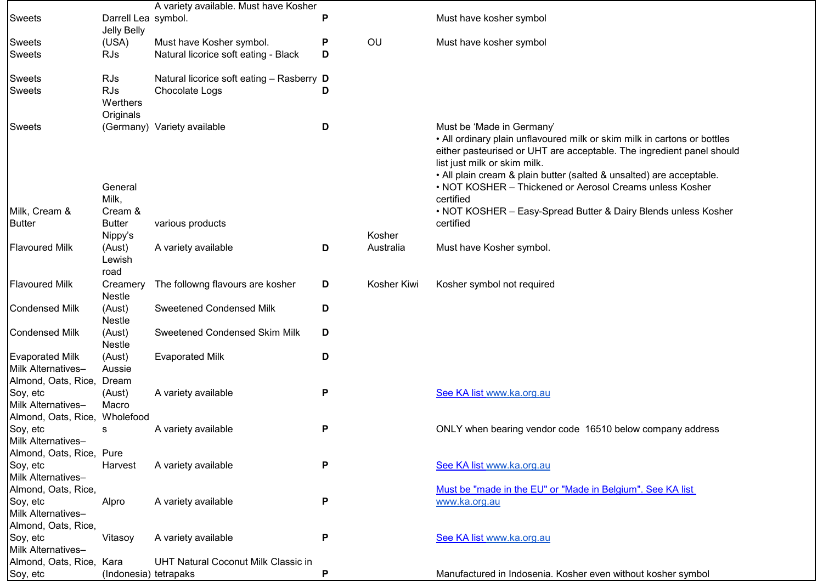|                          |                                     | A variety available. Must have Kosher      |   |             |                                                                                                                                                                                                                                                                                                                                                    |
|--------------------------|-------------------------------------|--------------------------------------------|---|-------------|----------------------------------------------------------------------------------------------------------------------------------------------------------------------------------------------------------------------------------------------------------------------------------------------------------------------------------------------------|
| <b>Sweets</b>            | Darrell Lea symbol.<br>Jelly Belly  |                                            | P |             | Must have kosher symbol                                                                                                                                                                                                                                                                                                                            |
| <b>Sweets</b>            | (USA)                               | Must have Kosher symbol.                   | P | OU          | Must have kosher symbol                                                                                                                                                                                                                                                                                                                            |
| <b>Sweets</b>            | <b>RJs</b>                          | Natural licorice soft eating - Black       | D |             |                                                                                                                                                                                                                                                                                                                                                    |
| <b>Sweets</b>            | <b>RJs</b>                          | Natural licorice soft eating - Rasberry D  |   |             |                                                                                                                                                                                                                                                                                                                                                    |
| <b>Sweets</b>            | <b>RJs</b><br>Werthers<br>Originals | Chocolate Logs                             | D |             |                                                                                                                                                                                                                                                                                                                                                    |
| <b>Sweets</b>            | General                             | (Germany) Variety available                | D |             | Must be 'Made in Germany'<br>. All ordinary plain unflavoured milk or skim milk in cartons or bottles<br>either pasteurised or UHT are acceptable. The ingredient panel should<br>list just milk or skim milk.<br>• All plain cream & plain butter (salted & unsalted) are acceptable.<br>• NOT KOSHER - Thickened or Aerosol Creams unless Kosher |
|                          | Milk,                               |                                            |   |             | certified                                                                                                                                                                                                                                                                                                                                          |
| Milk, Cream &            | Cream &                             |                                            |   |             | • NOT KOSHER - Easy-Spread Butter & Dairy Blends unless Kosher                                                                                                                                                                                                                                                                                     |
| <b>Butter</b>            | <b>Butter</b>                       | various products                           |   |             | certified                                                                                                                                                                                                                                                                                                                                          |
|                          | Nippy's                             |                                            |   | Kosher      |                                                                                                                                                                                                                                                                                                                                                    |
| <b>Flavoured Milk</b>    | (Aust)<br>Lewish<br>road            | A variety available                        | D | Australia   | Must have Kosher symbol.                                                                                                                                                                                                                                                                                                                           |
| <b>Flavoured Milk</b>    | Creamery<br>Nestle                  | The followng flavours are kosher           | D | Kosher Kiwi | Kosher symbol not required                                                                                                                                                                                                                                                                                                                         |
| <b>Condensed Milk</b>    | (Aust)<br>Nestle                    | <b>Sweetened Condensed Milk</b>            | D |             |                                                                                                                                                                                                                                                                                                                                                    |
| <b>Condensed Milk</b>    | (Aust)<br>Nestle                    | Sweetened Condensed Skim Milk              | D |             |                                                                                                                                                                                                                                                                                                                                                    |
| <b>Evaporated Milk</b>   | (Aust)                              | <b>Evaporated Milk</b>                     | D |             |                                                                                                                                                                                                                                                                                                                                                    |
| Milk Alternatives-       | Aussie                              |                                            |   |             |                                                                                                                                                                                                                                                                                                                                                    |
| Almond, Oats, Rice,      | Dream                               |                                            |   |             |                                                                                                                                                                                                                                                                                                                                                    |
| Soy, etc                 | (Aust)                              | A variety available                        | P |             | See KA list www.ka.org.au                                                                                                                                                                                                                                                                                                                          |
| Milk Alternatives-       | Macro                               |                                            |   |             |                                                                                                                                                                                                                                                                                                                                                    |
| Almond, Oats, Rice,      | Wholefood                           |                                            |   |             |                                                                                                                                                                                                                                                                                                                                                    |
| Soy, etc                 | s                                   | A variety available                        | P |             | ONLY when bearing vendor code 16510 below company address                                                                                                                                                                                                                                                                                          |
| Milk Alternatives-       |                                     |                                            |   |             |                                                                                                                                                                                                                                                                                                                                                    |
| Almond, Oats, Rice, Pure |                                     |                                            |   |             |                                                                                                                                                                                                                                                                                                                                                    |
| Soy, etc                 | Harvest                             | A variety available                        | P |             | See KA list www.ka.org.au                                                                                                                                                                                                                                                                                                                          |
| Milk Alternatives-       |                                     |                                            |   |             |                                                                                                                                                                                                                                                                                                                                                    |
| Almond, Oats, Rice,      |                                     |                                            |   |             | Must be "made in the EU" or "Made in Belgium". See KA list                                                                                                                                                                                                                                                                                         |
| Soy, etc                 | Alpro                               | A variety available                        | P |             | www.ka.org.au                                                                                                                                                                                                                                                                                                                                      |
| Milk Alternatives-       |                                     |                                            |   |             |                                                                                                                                                                                                                                                                                                                                                    |
| Almond, Oats, Rice,      |                                     |                                            |   |             |                                                                                                                                                                                                                                                                                                                                                    |
| Soy, etc                 | Vitasoy                             | A variety available                        | P |             | See KA list www.ka.org.au                                                                                                                                                                                                                                                                                                                          |
| Milk Alternatives-       |                                     |                                            |   |             |                                                                                                                                                                                                                                                                                                                                                    |
| Almond, Oats, Rice, Kara |                                     | <b>UHT Natural Coconut Milk Classic in</b> |   |             |                                                                                                                                                                                                                                                                                                                                                    |
| Soy, etc                 | (Indonesia) tetrapaks               |                                            | P |             | Manufactured in Indosenia. Kosher even without kosher symbol                                                                                                                                                                                                                                                                                       |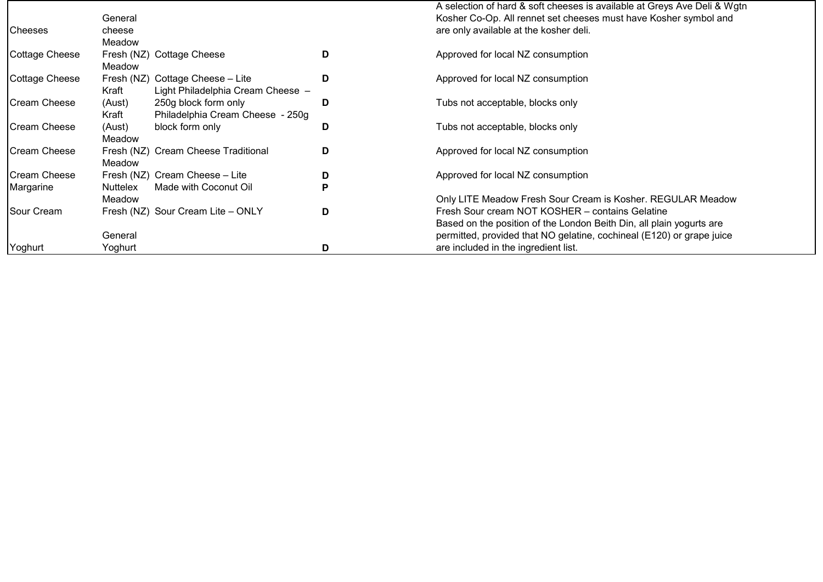|            |                                                                                                  |                                                                                                                                                                                                                                                                                                               | A selection of hard & soft cheeses is available at Greys Ave Deli & Wgtn<br>Kosher Co-Op. All rennet set cheeses must have Kosher symbol and |
|------------|--------------------------------------------------------------------------------------------------|---------------------------------------------------------------------------------------------------------------------------------------------------------------------------------------------------------------------------------------------------------------------------------------------------------------|----------------------------------------------------------------------------------------------------------------------------------------------|
|            |                                                                                                  |                                                                                                                                                                                                                                                                                                               |                                                                                                                                              |
|            |                                                                                                  |                                                                                                                                                                                                                                                                                                               | are only available at the kosher deli.                                                                                                       |
|            |                                                                                                  |                                                                                                                                                                                                                                                                                                               |                                                                                                                                              |
|            |                                                                                                  |                                                                                                                                                                                                                                                                                                               | Approved for local NZ consumption                                                                                                            |
| Meadow     |                                                                                                  |                                                                                                                                                                                                                                                                                                               |                                                                                                                                              |
| Fresh (NZ) |                                                                                                  | D                                                                                                                                                                                                                                                                                                             | Approved for local NZ consumption                                                                                                            |
| Kraft      |                                                                                                  |                                                                                                                                                                                                                                                                                                               |                                                                                                                                              |
|            |                                                                                                  | D                                                                                                                                                                                                                                                                                                             | Tubs not acceptable, blocks only                                                                                                             |
| Kraft      |                                                                                                  |                                                                                                                                                                                                                                                                                                               |                                                                                                                                              |
|            |                                                                                                  |                                                                                                                                                                                                                                                                                                               | Tubs not acceptable, blocks only                                                                                                             |
|            |                                                                                                  |                                                                                                                                                                                                                                                                                                               |                                                                                                                                              |
|            |                                                                                                  |                                                                                                                                                                                                                                                                                                               | Approved for local NZ consumption                                                                                                            |
|            |                                                                                                  |                                                                                                                                                                                                                                                                                                               |                                                                                                                                              |
|            |                                                                                                  |                                                                                                                                                                                                                                                                                                               | Approved for local NZ consumption                                                                                                            |
|            |                                                                                                  |                                                                                                                                                                                                                                                                                                               |                                                                                                                                              |
|            |                                                                                                  |                                                                                                                                                                                                                                                                                                               |                                                                                                                                              |
|            |                                                                                                  |                                                                                                                                                                                                                                                                                                               | Only LITE Meadow Fresh Sour Cream is Kosher. REGULAR Meadow                                                                                  |
|            |                                                                                                  |                                                                                                                                                                                                                                                                                                               | Fresh Sour cream NOT KOSHER - contains Gelatine                                                                                              |
|            |                                                                                                  |                                                                                                                                                                                                                                                                                                               | Based on the position of the London Beith Din, all plain yogurts are                                                                         |
| General    |                                                                                                  |                                                                                                                                                                                                                                                                                                               | permitted, provided that NO gelatine, cochineal (E120) or grape juice                                                                        |
| Yoghurt    |                                                                                                  | D                                                                                                                                                                                                                                                                                                             | are included in the ingredient list.                                                                                                         |
|            | General<br>cheese<br>Meadow<br>(Aust)<br>(Aust)<br>Meadow<br>Meadow<br><b>Nuttelex</b><br>Meadow | Fresh (NZ) Cottage Cheese<br>Cottage Cheese - Lite<br>Light Philadelphia Cream Cheese -<br>250g block form only<br>Philadelphia Cream Cheese - 250g<br>block form only<br>Fresh (NZ) Cream Cheese Traditional<br>Fresh (NZ) Cream Cheese - Lite<br>Made with Coconut Oil<br>Fresh (NZ) Sour Cream Lite - ONLY | D<br>D<br>D<br>D<br>P<br>D                                                                                                                   |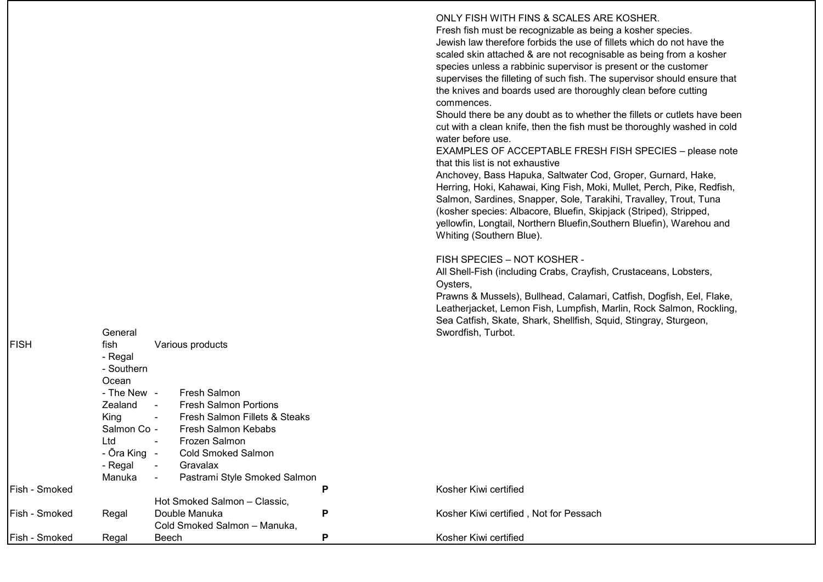ONLY FISH WITH FINS & SCALES ARE KOSHER. Fresh fish must be recognizable as being a kosher species. Jewish law therefore forbids the use of fillets which do not have the scaled skin attached & are not recognisable as being from a kosher species unless a rabbinic supervisor is present or the customer supervises the filleting of such fish. The supervisor should ensure that the knives and boards used are thoroughly clean before cutting commences. Should there be any doubt as to whether the fillets or cutlets have been cut with a clean knife, then the fish must be thoroughly washed in cold water before use. EXAMPLES OF ACCEPTABLE FRESH FISH SPECIES – please note

that this list is not exhaustive

Anchovey, Bass Hapuka, Saltwater Cod, Groper, Gurnard, Hake, Herring, Hoki, Kahawai, King Fish, Moki, Mullet, Perch, Pike, Redfish, Salmon, Sardines, Snapper, Sole, Tarakihi, Travalley, Trout, Tuna (kosher species: Albacore, Bluefin, Skipjack (Striped), Stripped, yellowfin, Longtail, Northern Bluefin,Southern Bluefin), Warehou and Whiting (Southern Blue).

FISH SPECIES – NOT KOSHER -

All Shell-Fish (including Crabs, Crayfish, Crustaceans, Lobsters, Oysters,

Prawns & Mussels), Bullhead, Calamari, Catfish, Dogfish, Eel, Flake, Leatherjacket, Lemon Fish, Lumpfish, Marlin, Rock Salmon, Rockling, Sea Catfish, Skate, Shark, Shellfish, Squid, Stingray, Sturgeon, Swordfish, Turbot.

|               | General      |                                          |   | Swordfish, Turbot.                     |
|---------------|--------------|------------------------------------------|---|----------------------------------------|
| FISH          | fish         | Various products                         |   |                                        |
|               | - Regal      |                                          |   |                                        |
|               | - Southern   |                                          |   |                                        |
|               | Ocean        |                                          |   |                                        |
|               | - The New -  | <b>Fresh Salmon</b>                      |   |                                        |
|               | Zealand      | Fresh Salmon Portions<br>$\sim$ 10 $\pm$ |   |                                        |
|               | King         | Fresh Salmon Fillets & Steaks<br>$\sim$  |   |                                        |
|               | Salmon Co -  | Fresh Salmon Kebabs                      |   |                                        |
|               | Ltd          | Frozen Salmon                            |   |                                        |
|               | - Ōra King - | <b>Cold Smoked Salmon</b>                |   |                                        |
|               | - Regal      | Gravalax<br>$\sim$                       |   |                                        |
|               | Manuka       | Pastrami Style Smoked Salmon<br>$\sim$   |   |                                        |
| Fish - Smoked |              |                                          | P | Kosher Kiwi certified                  |
|               |              | Hot Smoked Salmon - Classic,             |   |                                        |
| Fish - Smoked | Regal        | Double Manuka                            | P | Kosher Kiwi certified, Not for Pessach |
|               |              | Cold Smoked Salmon - Manuka,             |   |                                        |
| Fish - Smoked | Regal        | Beech                                    | P | Kosher Kiwi certified                  |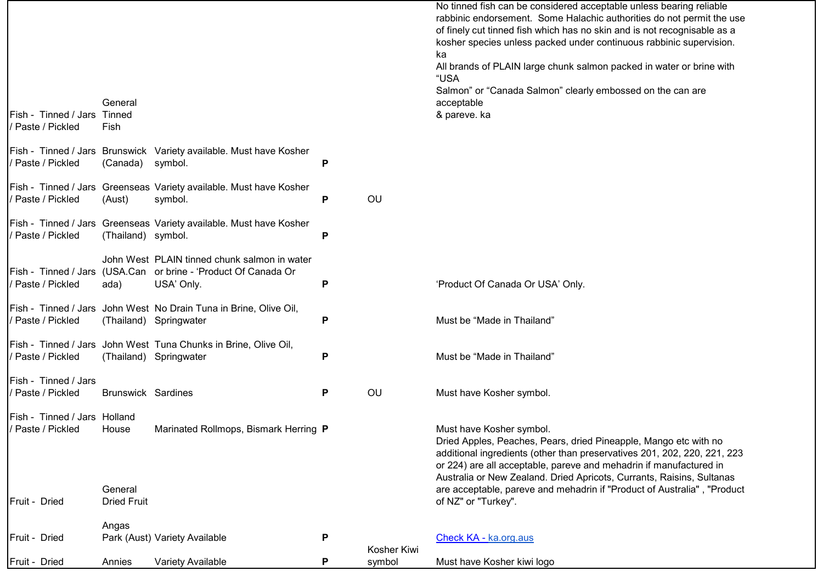|                                                 |                               |                                                                                                                              |   |                       | No tinned fish can be considered acceptable unless bearing reliable<br>rabbinic endorsement. Some Halachic authorities do not permit the use<br>of finely cut tinned fish which has no skin and is not recognisable as a<br>kosher species unless packed under continuous rabbinic supervision.<br>ka<br>All brands of PLAIN large chunk salmon packed in water or brine with<br>"USA<br>Salmon" or "Canada Salmon" clearly embossed on the can are |
|-------------------------------------------------|-------------------------------|------------------------------------------------------------------------------------------------------------------------------|---|-----------------------|-----------------------------------------------------------------------------------------------------------------------------------------------------------------------------------------------------------------------------------------------------------------------------------------------------------------------------------------------------------------------------------------------------------------------------------------------------|
| Fish - Tinned / Jars Tinned<br>Paste / Pickled  | General<br>Fish               |                                                                                                                              |   |                       | acceptable<br>& pareve. ka                                                                                                                                                                                                                                                                                                                                                                                                                          |
| Paste / Pickled                                 | (Canada)                      | Fish - Tinned / Jars Brunswick Variety available. Must have Kosher<br>symbol.                                                | P |                       |                                                                                                                                                                                                                                                                                                                                                                                                                                                     |
| Paste / Pickled                                 | (Aust)                        | Fish - Tinned / Jars Greenseas Variety available. Must have Kosher<br>symbol.                                                | P | OU                    |                                                                                                                                                                                                                                                                                                                                                                                                                                                     |
| Paste / Pickled                                 | (Thailand) symbol.            | Fish - Tinned / Jars Greenseas Variety available. Must have Kosher                                                           | P |                       |                                                                                                                                                                                                                                                                                                                                                                                                                                                     |
| Paste / Pickled                                 | ada)                          | John West PLAIN tinned chunk salmon in water<br>Fish - Tinned / Jars (USA.Can or brine - 'Product Of Canada Or<br>USA' Only. | P |                       | 'Product Of Canada Or USA' Only.                                                                                                                                                                                                                                                                                                                                                                                                                    |
| Paste / Pickled                                 |                               | Fish - Tinned / Jars John West No Drain Tuna in Brine, Olive Oil,<br>(Thailand) Springwater                                  | P |                       | Must be "Made in Thailand"                                                                                                                                                                                                                                                                                                                                                                                                                          |
| Paste / Pickled                                 |                               | Fish - Tinned / Jars John West Tuna Chunks in Brine, Olive Oil,<br>(Thailand) Springwater                                    | P |                       | Must be "Made in Thailand"                                                                                                                                                                                                                                                                                                                                                                                                                          |
| Fish - Tinned / Jars<br>Paste / Pickled         | <b>Brunswick Sardines</b>     |                                                                                                                              | Ρ | OU                    | Must have Kosher symbol.                                                                                                                                                                                                                                                                                                                                                                                                                            |
| Fish - Tinned / Jars Holland<br>Paste / Pickled | House                         | Marinated Rollmops, Bismark Herring P                                                                                        |   |                       | Must have Kosher symbol.<br>Dried Apples, Peaches, Pears, dried Pineapple, Mango etc with no<br>additional ingredients (other than preservatives 201, 202, 220, 221, 223<br>or 224) are all acceptable, pareve and mehadrin if manufactured in<br>Australia or New Zealand. Dried Apricots, Currants, Raisins, Sultanas                                                                                                                             |
| Fruit - Dried                                   | General<br><b>Dried Fruit</b> |                                                                                                                              |   |                       | are acceptable, pareve and mehadrin if "Product of Australia", "Product<br>of NZ" or "Turkey".                                                                                                                                                                                                                                                                                                                                                      |
| Fruit - Dried                                   | Angas                         | Park (Aust) Variety Available                                                                                                | P |                       | Check KA - ka.org.aus                                                                                                                                                                                                                                                                                                                                                                                                                               |
| Fruit - Dried                                   | Annies                        | Variety Available                                                                                                            | Ρ | Kosher Kiwi<br>symbol | Must have Kosher kiwi logo                                                                                                                                                                                                                                                                                                                                                                                                                          |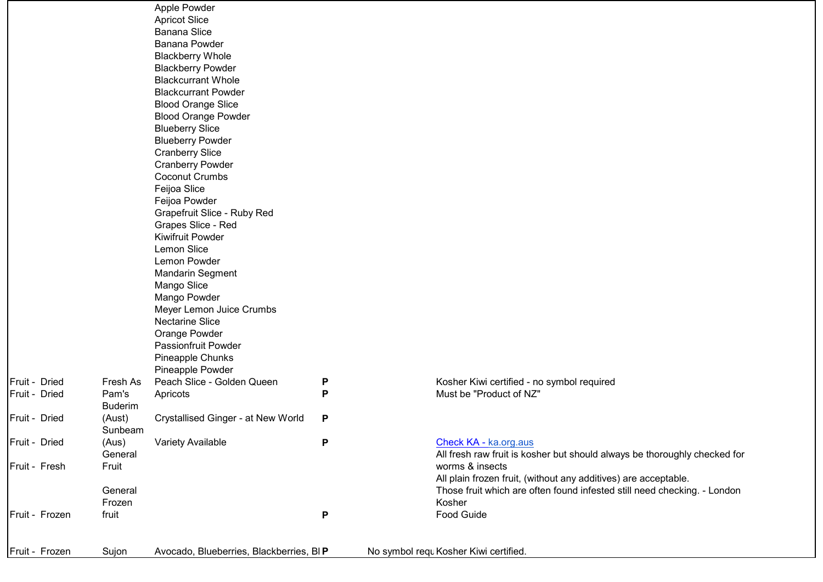|                |                | Apple Powder                            |   |                                                                           |
|----------------|----------------|-----------------------------------------|---|---------------------------------------------------------------------------|
|                |                | <b>Apricot Slice</b>                    |   |                                                                           |
|                |                | <b>Banana Slice</b>                     |   |                                                                           |
|                |                | <b>Banana Powder</b>                    |   |                                                                           |
|                |                | <b>Blackberry Whole</b>                 |   |                                                                           |
|                |                | <b>Blackberry Powder</b>                |   |                                                                           |
|                |                | <b>Blackcurrant Whole</b>               |   |                                                                           |
|                |                | <b>Blackcurrant Powder</b>              |   |                                                                           |
|                |                | <b>Blood Orange Slice</b>               |   |                                                                           |
|                |                | <b>Blood Orange Powder</b>              |   |                                                                           |
|                |                | <b>Blueberry Slice</b>                  |   |                                                                           |
|                |                |                                         |   |                                                                           |
|                |                | <b>Blueberry Powder</b>                 |   |                                                                           |
|                |                | <b>Cranberry Slice</b>                  |   |                                                                           |
|                |                | <b>Cranberry Powder</b>                 |   |                                                                           |
|                |                | <b>Coconut Crumbs</b>                   |   |                                                                           |
|                |                | Feijoa Slice                            |   |                                                                           |
|                |                | Feijoa Powder                           |   |                                                                           |
|                |                | Grapefruit Slice - Ruby Red             |   |                                                                           |
|                |                | Grapes Slice - Red                      |   |                                                                           |
|                |                | <b>Kiwifruit Powder</b>                 |   |                                                                           |
|                |                | Lemon Slice                             |   |                                                                           |
|                |                | Lemon Powder                            |   |                                                                           |
|                |                | <b>Mandarin Segment</b>                 |   |                                                                           |
|                |                | Mango Slice                             |   |                                                                           |
|                |                | Mango Powder                            |   |                                                                           |
|                |                | Meyer Lemon Juice Crumbs                |   |                                                                           |
|                |                | <b>Nectarine Slice</b>                  |   |                                                                           |
|                |                | Orange Powder                           |   |                                                                           |
|                |                | Passionfruit Powder                     |   |                                                                           |
|                |                | Pineapple Chunks                        |   |                                                                           |
|                |                | Pineapple Powder                        |   |                                                                           |
| Fruit - Dried  | Fresh As       | Peach Slice - Golden Queen              | P | Kosher Kiwi certified - no symbol required                                |
| Fruit - Dried  | Pam's          | Apricots                                | P | Must be "Product of NZ"                                                   |
|                | <b>Buderim</b> |                                         |   |                                                                           |
| Fruit - Dried  | (Aust)         | Crystallised Ginger - at New World      | P |                                                                           |
|                | Sunbeam        |                                         |   |                                                                           |
| Fruit - Dried  | (Aus)          | <b>Variety Available</b>                | P | Check KA - ka.org.aus                                                     |
|                | General        |                                         |   | All fresh raw fruit is kosher but should always be thoroughly checked for |
| Fruit - Fresh  | Fruit          |                                         |   | worms & insects                                                           |
|                |                |                                         |   | All plain frozen fruit, (without any additives) are acceptable.           |
|                | General        |                                         |   | Those fruit which are often found infested still need checking. - London  |
|                | Frozen         |                                         |   | Kosher                                                                    |
|                |                |                                         |   |                                                                           |
| Fruit - Frozen | fruit          |                                         | P | Food Guide                                                                |
|                |                |                                         |   |                                                                           |
| Fruit - Frozen |                | Avocado, Blueberries, Blackberries, BIP |   | No symbol requ Kosher Kiwi certified.                                     |
|                | Sujon          |                                         |   |                                                                           |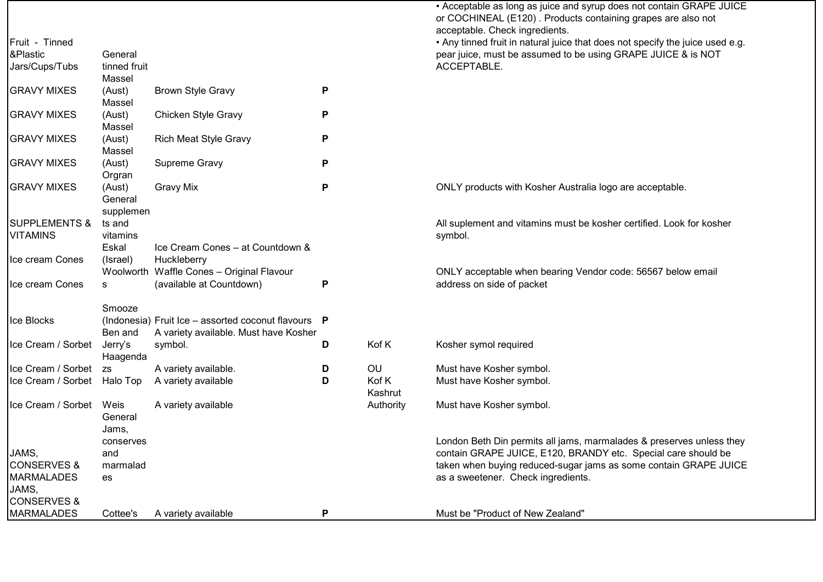|                             |                      |                                                                                                |   |                  | • Acceptable as long as juice and syrup does not contain GRAPE JUICE<br>or COCHINEAL (E120). Products containing grapes are also not<br>acceptable. Check ingredients. |
|-----------------------------|----------------------|------------------------------------------------------------------------------------------------|---|------------------|------------------------------------------------------------------------------------------------------------------------------------------------------------------------|
| Fruit - Tinned              |                      |                                                                                                |   |                  | . Any tinned fruit in natural juice that does not specify the juice used e.g.                                                                                          |
| &Plastic                    | General              |                                                                                                |   |                  | pear juice, must be assumed to be using GRAPE JUICE & is NOT                                                                                                           |
| Jars/Cups/Tubs              | tinned fruit         |                                                                                                |   |                  | ACCEPTABLE.                                                                                                                                                            |
|                             | Massel               |                                                                                                |   |                  |                                                                                                                                                                        |
| <b>GRAVY MIXES</b>          | (Aust)<br>Massel     | <b>Brown Style Gravy</b>                                                                       | P |                  |                                                                                                                                                                        |
| <b>GRAVY MIXES</b>          | (Aust)<br>Massel     | Chicken Style Gravy                                                                            | P |                  |                                                                                                                                                                        |
| <b>GRAVY MIXES</b>          | (Aust)<br>Massel     | <b>Rich Meat Style Gravy</b>                                                                   | P |                  |                                                                                                                                                                        |
| <b>GRAVY MIXES</b>          | (Aust)               | Supreme Gravy                                                                                  | P |                  |                                                                                                                                                                        |
| <b>GRAVY MIXES</b>          | Orgran<br>(Aust)     | <b>Gravy Mix</b>                                                                               | P |                  | ONLY products with Kosher Australia logo are acceptable.                                                                                                               |
|                             | General<br>supplemen |                                                                                                |   |                  |                                                                                                                                                                        |
| <b>SUPPLEMENTS &amp;</b>    | ts and               |                                                                                                |   |                  | All suplement and vitamins must be kosher certified. Look for kosher                                                                                                   |
| <b>VITAMINS</b>             | vitamins             |                                                                                                |   |                  | symbol.                                                                                                                                                                |
|                             | Eskal                | Ice Cream Cones - at Countdown &                                                               |   |                  |                                                                                                                                                                        |
| Ice cream Cones             | (Israel)             | Huckleberry                                                                                    |   |                  |                                                                                                                                                                        |
|                             |                      | Woolworth Waffle Cones - Original Flavour                                                      |   |                  | ONLY acceptable when bearing Vendor code: 56567 below email                                                                                                            |
| Ice cream Cones             | s                    | (available at Countdown)                                                                       | P |                  | address on side of packet                                                                                                                                              |
|                             | Smooze               |                                                                                                |   |                  |                                                                                                                                                                        |
| Ice Blocks                  | Ben and              | (Indonesia) Fruit Ice - assorted coconut flavours $P$<br>A variety available. Must have Kosher |   |                  |                                                                                                                                                                        |
| Ice Cream / Sorbet          | Jerry's              | symbol.                                                                                        | D | Kof K            | Kosher symol required                                                                                                                                                  |
|                             | Haagenda             |                                                                                                |   |                  |                                                                                                                                                                        |
| Ice Cream / Sorbet          | <b>ZS</b>            | A variety available.                                                                           | D | OU               | Must have Kosher symbol.                                                                                                                                               |
| Ice Cream / Sorbet Halo Top |                      | A variety available                                                                            | D | Kof K<br>Kashrut | Must have Kosher symbol.                                                                                                                                               |
| Ice Cream / Sorbet          | Weis<br>General      | A variety available                                                                            |   | Authority        | Must have Kosher symbol.                                                                                                                                               |
|                             | Jams,                |                                                                                                |   |                  |                                                                                                                                                                        |
| JAMS,                       | conserves<br>and     |                                                                                                |   |                  | London Beth Din permits all jams, marmalades & preserves unless they<br>contain GRAPE JUICE, E120, BRANDY etc. Special care should be                                  |
| <b>CONSERVES &amp;</b>      | marmalad             |                                                                                                |   |                  | taken when buying reduced-sugar jams as some contain GRAPE JUICE                                                                                                       |
| <b>MARMALADES</b>           | es                   |                                                                                                |   |                  | as a sweetener. Check ingredients.                                                                                                                                     |
| JAMS,                       |                      |                                                                                                |   |                  |                                                                                                                                                                        |
| <b>CONSERVES &amp;</b>      |                      |                                                                                                |   |                  |                                                                                                                                                                        |
| <b>MARMALADES</b>           | Cottee's             | A variety available                                                                            | P |                  | Must be "Product of New Zealand"                                                                                                                                       |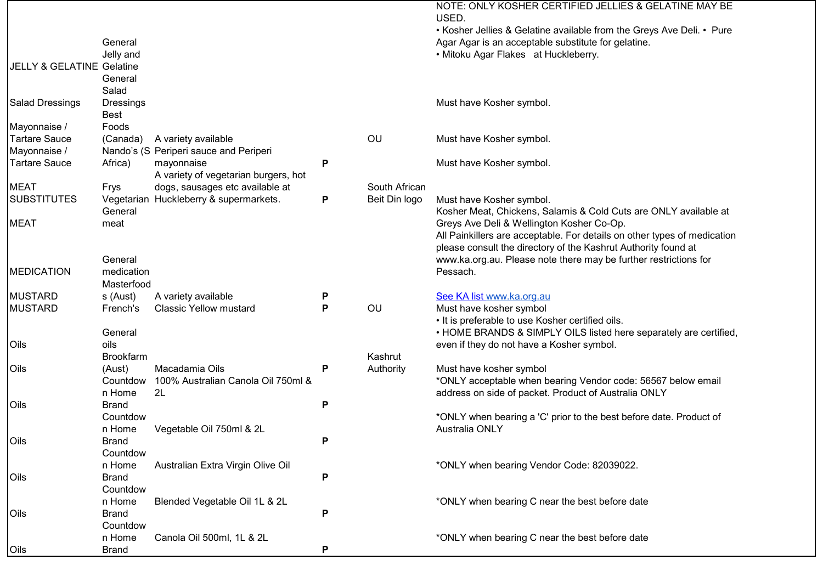|                                      |                  |                                        |        |               | NOTE: ONLY KOSHER CERTIFIED JELLIES & GELATINE MAY BE<br>USED.           |
|--------------------------------------|------------------|----------------------------------------|--------|---------------|--------------------------------------------------------------------------|
|                                      |                  |                                        |        |               | • Kosher Jellies & Gelatine available from the Greys Ave Deli. • Pure    |
|                                      | General          |                                        |        |               | Agar Agar is an acceptable substitute for gelatine.                      |
|                                      | Jelly and        |                                        |        |               | • Mitoku Agar Flakes at Huckleberry.                                     |
| <b>JELLY &amp; GELATINE Gelatine</b> |                  |                                        |        |               |                                                                          |
|                                      | General          |                                        |        |               |                                                                          |
|                                      | Salad            |                                        |        |               |                                                                          |
| <b>Salad Dressings</b>               | <b>Dressings</b> |                                        |        |               | Must have Kosher symbol.                                                 |
|                                      | Best             |                                        |        |               |                                                                          |
| Mayonnaise /                         | Foods            |                                        |        |               |                                                                          |
| <b>Tartare Sauce</b>                 | (Canada)         | A variety available                    |        | OU            | Must have Kosher symbol.                                                 |
| Mayonnaise /                         |                  | Nando's (S Periperi sauce and Periperi |        |               |                                                                          |
| <b>Tartare Sauce</b>                 | Africa)          | mayonnaise                             | P      |               | Must have Kosher symbol.                                                 |
|                                      |                  | A variety of vegetarian burgers, hot   |        |               |                                                                          |
| <b>MEAT</b>                          | Frys             | dogs, sausages etc available at        |        | South African |                                                                          |
| <b>SUBSTITUTES</b>                   |                  | Vegetarian Huckleberry & supermarkets. | P      | Beit Din logo | Must have Kosher symbol.                                                 |
|                                      | General          |                                        |        |               | Kosher Meat, Chickens, Salamis & Cold Cuts are ONLY available at         |
| <b>MEAT</b>                          | meat             |                                        |        |               | Greys Ave Deli & Wellington Kosher Co-Op.                                |
|                                      |                  |                                        |        |               | All Painkillers are acceptable. For details on other types of medication |
|                                      |                  |                                        |        |               | please consult the directory of the Kashrut Authority found at           |
|                                      | General          |                                        |        |               | www.ka.org.au. Please note there may be further restrictions for         |
| <b>MEDICATION</b>                    | medication       |                                        |        |               | Pessach.                                                                 |
|                                      | Masterfood       |                                        |        |               |                                                                          |
| <b>MUSTARD</b>                       | s (Aust)         | A variety available                    |        |               | See KA list www.ka.org.au                                                |
| <b>MUSTARD</b>                       | French's         | <b>Classic Yellow mustard</b>          | P<br>P | OU            | Must have kosher symbol                                                  |
|                                      |                  |                                        |        |               | • It is preferable to use Kosher certified oils.                         |
|                                      |                  |                                        |        |               | • HOME BRANDS & SIMPLY OILS listed here separately are certified,        |
| Oils                                 | General<br>oils  |                                        |        |               |                                                                          |
|                                      | <b>Brookfarm</b> |                                        |        | Kashrut       | even if they do not have a Kosher symbol.                                |
| Oils                                 |                  | Macadamia Oils                         |        |               |                                                                          |
|                                      | (Aust)           |                                        | P      | Authority     | Must have kosher symbol                                                  |
|                                      | Countdow         | 100% Australian Canola Oil 750ml &     |        |               | *ONLY acceptable when bearing Vendor code: 56567 below email             |
|                                      | n Home           | 2L                                     |        |               | address on side of packet. Product of Australia ONLY                     |
| Oils                                 | <b>Brand</b>     |                                        | P      |               |                                                                          |
|                                      | Countdow         |                                        |        |               | *ONLY when bearing a 'C' prior to the best before date. Product of       |
|                                      | n Home           | Vegetable Oil 750ml & 2L               |        |               | Australia ONLY                                                           |
| Oils                                 | <b>Brand</b>     |                                        | P      |               |                                                                          |
|                                      | Countdow         |                                        |        |               |                                                                          |
|                                      | n Home           | Australian Extra Virgin Olive Oil      |        |               | *ONLY when bearing Vendor Code: 82039022.                                |
| Oils                                 | <b>Brand</b>     |                                        | P      |               |                                                                          |
|                                      | Countdow         |                                        |        |               |                                                                          |
|                                      | n Home           | Blended Vegetable Oil 1L & 2L          |        |               | *ONLY when bearing C near the best before date                           |
| Oils                                 | <b>Brand</b>     |                                        | P      |               |                                                                          |
|                                      | Countdow         |                                        |        |               |                                                                          |
|                                      | n Home           | Canola Oil 500ml, 1L & 2L              |        |               | *ONLY when bearing C near the best before date                           |
| Oils                                 | <b>Brand</b>     |                                        | P      |               |                                                                          |

- r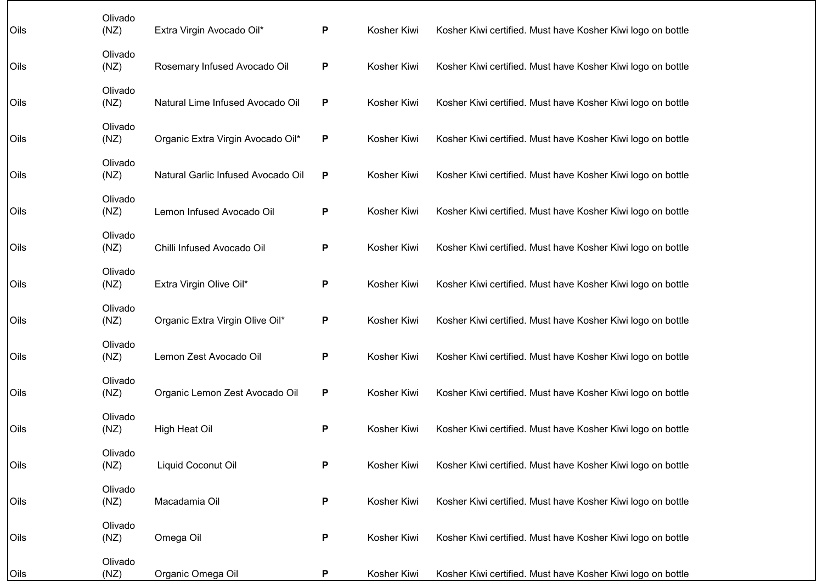| Oils | Olivado<br>(NZ) | Extra Virgin Avocado Oil*          | P | Kosher Kiwi | Kosher Kiwi certified. Must have Kosher Kiwi logo on bottle |
|------|-----------------|------------------------------------|---|-------------|-------------------------------------------------------------|
| Oils | Olivado<br>(NZ) | Rosemary Infused Avocado Oil       | P | Kosher Kiwi | Kosher Kiwi certified. Must have Kosher Kiwi logo on bottle |
| Oils | Olivado<br>(NZ) | Natural Lime Infused Avocado Oil   | P | Kosher Kiwi | Kosher Kiwi certified. Must have Kosher Kiwi logo on bottle |
| Oils | Olivado<br>(NZ) | Organic Extra Virgin Avocado Oil*  | P | Kosher Kiwi | Kosher Kiwi certified. Must have Kosher Kiwi logo on bottle |
| Oils | Olivado<br>(NZ) | Natural Garlic Infused Avocado Oil | P | Kosher Kiwi | Kosher Kiwi certified. Must have Kosher Kiwi logo on bottle |
| Oils | Olivado<br>(NZ) | Lemon Infused Avocado Oil          | P | Kosher Kiwi | Kosher Kiwi certified. Must have Kosher Kiwi logo on bottle |
| Oils | Olivado<br>(NZ) | Chilli Infused Avocado Oil         | P | Kosher Kiwi | Kosher Kiwi certified. Must have Kosher Kiwi logo on bottle |
| Oils | Olivado<br>(NZ) | Extra Virgin Olive Oil*            | P | Kosher Kiwi | Kosher Kiwi certified. Must have Kosher Kiwi logo on bottle |
| Oils | Olivado<br>(NZ) | Organic Extra Virgin Olive Oil*    | P | Kosher Kiwi | Kosher Kiwi certified. Must have Kosher Kiwi logo on bottle |
| Oils | Olivado<br>(NZ) | Lemon Zest Avocado Oil             | P | Kosher Kiwi | Kosher Kiwi certified. Must have Kosher Kiwi logo on bottle |
| Oils | Olivado<br>(NZ) | Organic Lemon Zest Avocado Oil     | P | Kosher Kiwi | Kosher Kiwi certified. Must have Kosher Kiwi logo on bottle |
| Oils | Olivado<br>(NZ) | High Heat Oil                      | P | Kosher Kiwi | Kosher Kiwi certified. Must have Kosher Kiwi logo on bottle |
| Oils | Olivado<br>(NZ) | Liquid Coconut Oil                 | P | Kosher Kiwi | Kosher Kiwi certified. Must have Kosher Kiwi logo on bottle |
| Oils | Olivado<br>(NZ) | Macadamia Oil                      | P | Kosher Kiwi | Kosher Kiwi certified. Must have Kosher Kiwi logo on bottle |
| Oils | Olivado<br>(NZ) | Omega Oil                          | P | Kosher Kiwi | Kosher Kiwi certified. Must have Kosher Kiwi logo on bottle |
| Oils | Olivado<br>(NZ) | Organic Omega Oil                  | P | Kosher Kiwi | Kosher Kiwi certified. Must have Kosher Kiwi logo on bottle |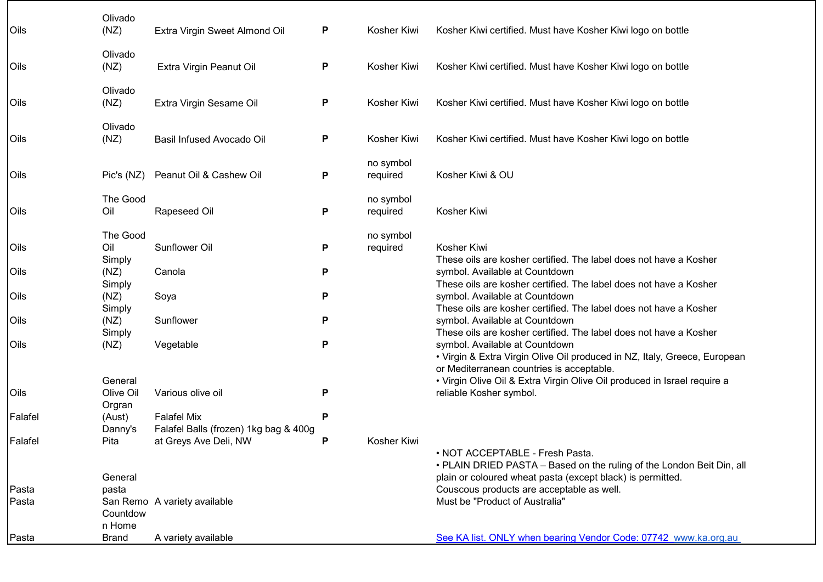| Oils    | Olivado<br>(NZ)          | Extra Virgin Sweet Almond Oil                               | P | Kosher Kiwi           | Kosher Kiwi certified. Must have Kosher Kiwi logo on bottle                                                                                                              |
|---------|--------------------------|-------------------------------------------------------------|---|-----------------------|--------------------------------------------------------------------------------------------------------------------------------------------------------------------------|
| Oils    | Olivado<br>(NZ)          | Extra Virgin Peanut Oil                                     | Ρ | Kosher Kiwi           | Kosher Kiwi certified. Must have Kosher Kiwi logo on bottle                                                                                                              |
| Oils    | Olivado<br>(NZ)          | Extra Virgin Sesame Oil                                     | Ρ | Kosher Kiwi           | Kosher Kiwi certified. Must have Kosher Kiwi logo on bottle                                                                                                              |
| Oils    | Olivado<br>(NZ)          | <b>Basil Infused Avocado Oil</b>                            | Ρ | Kosher Kiwi           | Kosher Kiwi certified. Must have Kosher Kiwi logo on bottle                                                                                                              |
| Oils    | Pic's (NZ)               | Peanut Oil & Cashew Oil                                     | Ρ | no symbol<br>required | Kosher Kiwi & OU                                                                                                                                                         |
| Oils    | The Good<br>Oil          | Rapeseed Oil                                                | P | no symbol<br>required | Kosher Kiwi                                                                                                                                                              |
| Oils    | The Good<br>Oil          | Sunflower Oil                                               | P | no symbol<br>required | Kosher Kiwi                                                                                                                                                              |
| Oils    | Simply<br>(NZ)<br>Simply | Canola                                                      | P |                       | These oils are kosher certified. The label does not have a Kosher<br>symbol. Available at Countdown<br>These oils are kosher certified. The label does not have a Kosher |
| Oils    | (NZ)<br>Simply           | Soya                                                        | P |                       | symbol. Available at Countdown<br>These oils are kosher certified. The label does not have a Kosher                                                                      |
| Oils    | (NZ)<br>Simply           | Sunflower                                                   | P |                       | symbol. Available at Countdown<br>These oils are kosher certified. The label does not have a Kosher                                                                      |
| Oils    | (NZ)                     | Vegetable                                                   | Ρ |                       | symbol. Available at Countdown<br>• Virgin & Extra Virgin Olive Oil produced in NZ, Italy, Greece, European<br>or Mediterranean countries is acceptable.                 |
|         | General                  |                                                             |   |                       | • Virgin Olive Oil & Extra Virgin Olive Oil produced in Israel require a                                                                                                 |
| Oils    | Olive Oil<br>Orgran      | Various olive oil                                           | P |                       | reliable Kosher symbol.                                                                                                                                                  |
| Falafel | (Aust)<br>Danny's        | <b>Falafel Mix</b><br>Falafel Balls (frozen) 1kg bag & 400g | P |                       |                                                                                                                                                                          |
| Falafel | Pita                     | at Greys Ave Deli, NW                                       | P | Kosher Kiwi           | · NOT ACCEPTABLE - Fresh Pasta.                                                                                                                                          |
|         | General                  |                                                             |   |                       | • PLAIN DRIED PASTA - Based on the ruling of the London Beit Din, all<br>plain or coloured wheat pasta (except black) is permitted.                                      |
| Pasta   | pasta                    |                                                             |   |                       | Couscous products are acceptable as well.                                                                                                                                |
| Pasta   | Countdow<br>n Home       | San Remo A variety available                                |   |                       | Must be "Product of Australia"                                                                                                                                           |
| Pasta   | Brand                    | A variety available                                         |   |                       | See KA list. ONLY when bearing Vendor Code: 07742 www.ka.org.au                                                                                                          |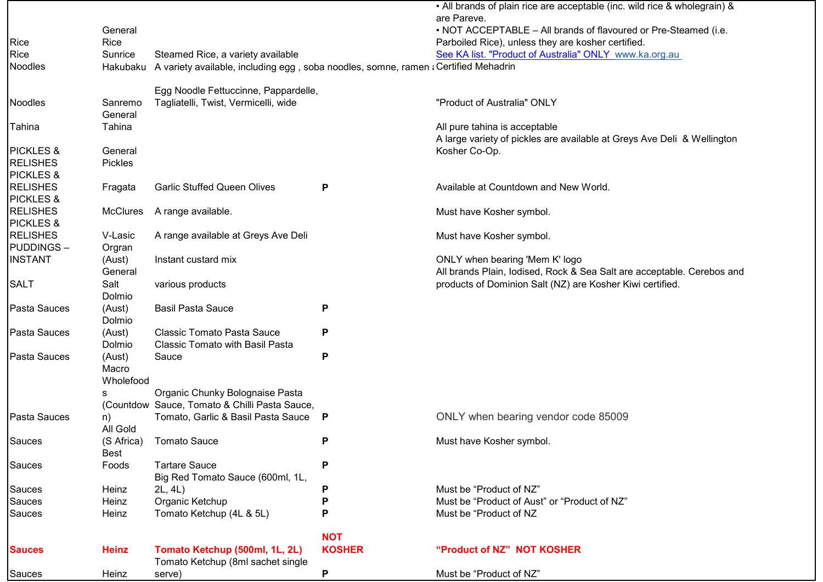|                      |                  |                                                                                    |               | • All brands of plain rice are acceptable (inc. wild rice & wholegrain) &<br>are Pareve. |
|----------------------|------------------|------------------------------------------------------------------------------------|---------------|------------------------------------------------------------------------------------------|
|                      | General          |                                                                                    |               | . NOT ACCEPTABLE - All brands of flavoured or Pre-Steamed (i.e.                          |
| Rice                 | Rice             |                                                                                    |               | Parboiled Rice), unless they are kosher certified.                                       |
| Rice                 | Sunrice          | Steamed Rice, a variety available                                                  |               | See KA list. "Product of Australia" ONLY www.ka.org.au                                   |
| Noodles              | Hakubaku         | A variety available, including egg, soba noodles, somne, ramen ¿Certified Mehadrin |               |                                                                                          |
|                      |                  |                                                                                    |               |                                                                                          |
|                      |                  | Egg Noodle Fettuccinne, Pappardelle,                                               |               |                                                                                          |
| Noodles              | Sanremo          | Tagliatelli, Twist, Vermicelli, wide                                               |               | "Product of Australia" ONLY                                                              |
|                      | General          |                                                                                    |               |                                                                                          |
| Tahina               | Tahina           |                                                                                    |               | All pure tahina is acceptable                                                            |
|                      |                  |                                                                                    |               | A large variety of pickles are available at Greys Ave Deli & Wellington                  |
| <b>PICKLES &amp;</b> | General          |                                                                                    |               | Kosher Co-Op.                                                                            |
| <b>RELISHES</b>      | Pickles          |                                                                                    |               |                                                                                          |
| <b>PICKLES &amp;</b> |                  |                                                                                    |               |                                                                                          |
| <b>RELISHES</b>      | Fragata          | <b>Garlic Stuffed Queen Olives</b>                                                 | P             | Available at Countdown and New World.                                                    |
| <b>PICKLES &amp;</b> |                  |                                                                                    |               |                                                                                          |
| <b>RELISHES</b>      | <b>McClures</b>  | A range available.                                                                 |               | Must have Kosher symbol.                                                                 |
| <b>PICKLES &amp;</b> |                  |                                                                                    |               |                                                                                          |
| <b>RELISHES</b>      | V-Lasic          | A range available at Greys Ave Deli                                                |               | Must have Kosher symbol.                                                                 |
| <b>PUDDINGS-</b>     | Orgran           |                                                                                    |               |                                                                                          |
| <b>INSTANT</b>       | (Aust)           | Instant custard mix                                                                |               | ONLY when bearing 'Mem K' logo                                                           |
|                      | General          |                                                                                    |               | All brands Plain, lodised, Rock & Sea Salt are acceptable. Cerebos and                   |
| <b>SALT</b>          | Salt             | various products                                                                   |               | products of Dominion Salt (NZ) are Kosher Kiwi certified.                                |
| Pasta Sauces         | Dolmio<br>(Aust) | <b>Basil Pasta Sauce</b>                                                           |               |                                                                                          |
|                      | Dolmio           |                                                                                    | P             |                                                                                          |
| Pasta Sauces         | (Aust)           | <b>Classic Tomato Pasta Sauce</b>                                                  | P             |                                                                                          |
|                      | Dolmio           | <b>Classic Tomato with Basil Pasta</b>                                             |               |                                                                                          |
| Pasta Sauces         | (Aust)           | Sauce                                                                              | P             |                                                                                          |
|                      | Macro            |                                                                                    |               |                                                                                          |
|                      | Wholefood        |                                                                                    |               |                                                                                          |
|                      | s                | Organic Chunky Bolognaise Pasta                                                    |               |                                                                                          |
|                      |                  | (Countdow Sauce, Tomato & Chilli Pasta Sauce,                                      |               |                                                                                          |
| Pasta Sauces         | n)               | Tomato, Garlic & Basil Pasta Sauce P                                               |               | ONLY when bearing vendor code 85009                                                      |
|                      | All Gold         |                                                                                    |               |                                                                                          |
| Sauces               |                  | (S Africa) Tomato Sauce                                                            | P             | Must have Kosher symbol.                                                                 |
|                      | Best             |                                                                                    |               |                                                                                          |
| Sauces               | Foods            | <b>Tartare Sauce</b>                                                               | P             |                                                                                          |
|                      |                  | Big Red Tomato Sauce (600ml, 1L,                                                   |               |                                                                                          |
| Sauces               | Heinz            | 2L, 4L)                                                                            | P             | Must be "Product of NZ"                                                                  |
| Sauces               | Heinz            | Organic Ketchup                                                                    | Ρ             | Must be "Product of Aust" or "Product of NZ"                                             |
| Sauces               | Heinz            | Tomato Ketchup (4L & 5L)                                                           | Ρ             | Must be "Product of NZ                                                                   |
|                      |                  |                                                                                    |               |                                                                                          |
|                      |                  |                                                                                    | <b>NOT</b>    |                                                                                          |
| <b>Sauces</b>        | <b>Heinz</b>     | Tomato Ketchup (500ml, 1L, 2L)                                                     | <b>KOSHER</b> | "Product of NZ" NOT KOSHER                                                               |
|                      |                  | Tomato Ketchup (8ml sachet single                                                  |               |                                                                                          |
| Sauces               | Heinz            | serve)                                                                             | P             | Must be "Product of NZ"                                                                  |

- г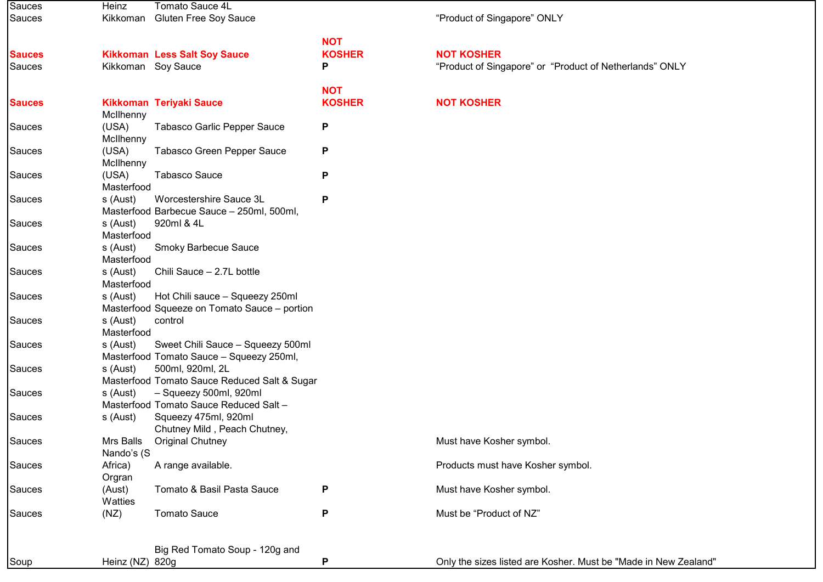| Sauces        | Heinz                  | Tomato Sauce 4L                                                  |               |                                                                 |
|---------------|------------------------|------------------------------------------------------------------|---------------|-----------------------------------------------------------------|
| Sauces        | Kikkoman               | <b>Gluten Free Soy Sauce</b>                                     |               | "Product of Singapore" ONLY                                     |
|               |                        |                                                                  |               |                                                                 |
|               |                        |                                                                  | <b>NOT</b>    |                                                                 |
| <b>Sauces</b> |                        | <b>Kikkoman Less Salt Soy Sauce</b>                              | <b>KOSHER</b> | <b>NOT KOSHER</b>                                               |
| Sauces        |                        | Kikkoman Soy Sauce                                               | P             | "Product of Singapore" or "Product of Netherlands" ONLY         |
|               |                        |                                                                  | <b>NOT</b>    |                                                                 |
| <b>Sauces</b> |                        | <b>Kikkoman Teriyaki Sauce</b>                                   | <b>KOSHER</b> | <b>NOT KOSHER</b>                                               |
|               | McIlhenny              |                                                                  |               |                                                                 |
| Sauces        | (USA)                  | Tabasco Garlic Pepper Sauce                                      | P             |                                                                 |
|               | McIlhenny              |                                                                  |               |                                                                 |
| Sauces        | (USA)                  | Tabasco Green Pepper Sauce                                       | P             |                                                                 |
|               | McIlhenny              |                                                                  |               |                                                                 |
| Sauces        | (USA)                  | <b>Tabasco Sauce</b>                                             | Ρ             |                                                                 |
|               | Masterfood             |                                                                  |               |                                                                 |
| Sauces        | s (Aust)               | Worcestershire Sauce 3L                                          | Ρ             |                                                                 |
|               |                        | Masterfood Barbecue Sauce - 250ml, 500ml,                        |               |                                                                 |
| Sauces        | s (Aust)               | 920ml & 4L                                                       |               |                                                                 |
|               | Masterfood             |                                                                  |               |                                                                 |
| Sauces        | s (Aust)<br>Masterfood | <b>Smoky Barbecue Sauce</b>                                      |               |                                                                 |
| Sauces        | s (Aust)               | Chili Sauce - 2.7L bottle                                        |               |                                                                 |
|               | Masterfood             |                                                                  |               |                                                                 |
| Sauces        | s (Aust)               | Hot Chili sauce - Squeezy 250ml                                  |               |                                                                 |
|               |                        | Masterfood Squeeze on Tomato Sauce - portion                     |               |                                                                 |
| Sauces        | s (Aust)               | control                                                          |               |                                                                 |
|               | Masterfood             |                                                                  |               |                                                                 |
| Sauces        | s (Aust)               | Sweet Chili Sauce - Squeezy 500ml                                |               |                                                                 |
|               |                        | Masterfood Tomato Sauce - Squeezy 250ml,                         |               |                                                                 |
| Sauces        | s (Aust)               | 500ml, 920ml, 2L                                                 |               |                                                                 |
|               |                        | Masterfood Tomato Sauce Reduced Salt & Sugar                     |               |                                                                 |
| Sauces        | s (Aust)               | - Squeezy 500ml, 920ml<br>Masterfood Tomato Sauce Reduced Salt - |               |                                                                 |
| Sauces        | s (Aust)               | Squeezy 475ml, 920ml                                             |               |                                                                 |
|               |                        | Chutney Mild, Peach Chutney,                                     |               |                                                                 |
| Sauces        | Mrs Balls              | <b>Original Chutney</b>                                          |               | Must have Kosher symbol.                                        |
|               | Nando's (S             |                                                                  |               |                                                                 |
| Sauces        | Africa)                | A range available.                                               |               | Products must have Kosher symbol.                               |
|               | Orgran                 |                                                                  |               |                                                                 |
| Sauces        | (Aust)                 | Tomato & Basil Pasta Sauce                                       | Ρ             | Must have Kosher symbol.                                        |
|               | Watties                |                                                                  |               |                                                                 |
| Sauces        | (NZ)                   | <b>Tomato Sauce</b>                                              | P             | Must be "Product of NZ"                                         |
|               |                        |                                                                  |               |                                                                 |
|               |                        | Big Red Tomato Soup - 120g and                                   |               |                                                                 |
| Soup          | Heinz (NZ) 820g        |                                                                  | P             | Only the sizes listed are Kosher. Must be "Made in New Zealand" |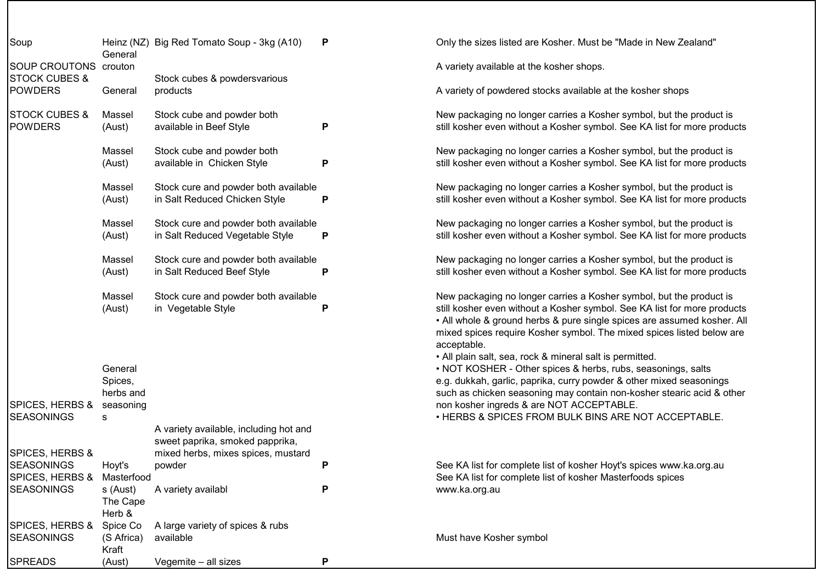|  | Soup                                             | General                                   | Heinz (NZ) Big Red Tomato Soup - 3kg (A10)                                | P |
|--|--------------------------------------------------|-------------------------------------------|---------------------------------------------------------------------------|---|
|  | <b>SOUP CROUTONS</b><br><b>STOCK CUBES &amp;</b> | crouton                                   | Stock cubes & powdersvarious                                              |   |
|  | <b>POWDERS</b>                                   | General                                   | products                                                                  |   |
|  | <b>STOCK CUBES &amp;</b><br><b>POWDERS</b>       | Massel<br>(Aust)                          | Stock cube and powder both<br>available in Beef Style                     | Р |
|  |                                                  | Massel<br>(Aust)                          | Stock cube and powder both<br>available in Chicken Style                  | P |
|  |                                                  | Massel<br>(Aust)                          | Stock cure and powder both available<br>in Salt Reduced Chicken Style     | Р |
|  |                                                  | Massel<br>(Aust)                          | Stock cure and powder both available<br>in Salt Reduced Vegetable Style   | P |
|  |                                                  | Massel<br>(Aust)                          | Stock cure and powder both available<br>in Salt Reduced Beef Style        | P |
|  |                                                  | Massel<br>(Aust)                          | Stock cure and powder both available<br>in Vegetable Style                | P |
|  |                                                  |                                           |                                                                           |   |
|  |                                                  | General<br>Spices,<br>herbs and           |                                                                           |   |
|  | SPICES, HERBS &<br><b>SEASONINGS</b>             | seasoning<br>s                            |                                                                           |   |
|  |                                                  |                                           | A variety available, including hot and<br>sweet paprika, smoked papprika, |   |
|  | SPICES, HERBS &<br><b>SEASONINGS</b>             | Hoyt's                                    | mixed herbs, mixes spices, mustard<br>powder                              | P |
|  | SPICES, HERBS &                                  | Masterfood                                |                                                                           |   |
|  | <b>SEASONINGS</b>                                | s (Aust)<br>The Cape                      | A variety availabl                                                        | Р |
|  | SPICES, HERBS &<br>SEASONINGS                    | Herb &<br>Spice Co<br>(S Africa)<br>Kraft | A large variety of spices & rubs<br>available                             |   |
|  | <b>SPREADS</b>                                   | (Aust)                                    | Vegemite - all sizes                                                      | P |

Only the sizes listed are Kosher. Must be "Made in New Zealand"

A variety available at the kosher shops.

A variety of powdered stocks available at the kosher shops

New packaging no longer carries a Kosher symbol, but the product is still kosher even without a Kosher symbol. See KA list for more products

New packaging no longer carries a Kosher symbol, but the product is still kosher even without a Kosher symbol. See KA list for more products

New packaging no longer carries a Kosher symbol, but the product is still kosher even without a Kosher symbol. See KA list for more products

New packaging no longer carries a Kosher symbol, but the product is still kosher even without a Kosher symbol. See KA list for more products

New packaging no longer carries a Kosher symbol, but the product is still kosher even without a Kosher symbol. See KA list for more products

New packaging no longer carries a Kosher symbol, but the product is still kosher even without a Kosher symbol. See KA list for more products • All whole & ground herbs & pure single spices are assumed kosher. All mixed spices require Kosher symbol. The mixed spices listed below are acceptable.

• All plain salt, sea, rock & mineral salt is permitted.

• NOT KOSHER - Other spices & herbs, rubs, seasonings, salts e.g. dukkah, garlic, paprika, curry powder & other mixed seasonings such as chicken seasoning may contain non-kosher stearic acid & other non kosher ingreds & are NOT ACCEPTABLE.

• HERBS & SPICES FROM BULK BINS ARE NOT ACCEPTABLE.

See KA list for complete list of kosher Hoyt's spices www.ka.org.au See KA list for complete list of kosher Masterfoods spices www.ka.org.au

Must have Kosher symbol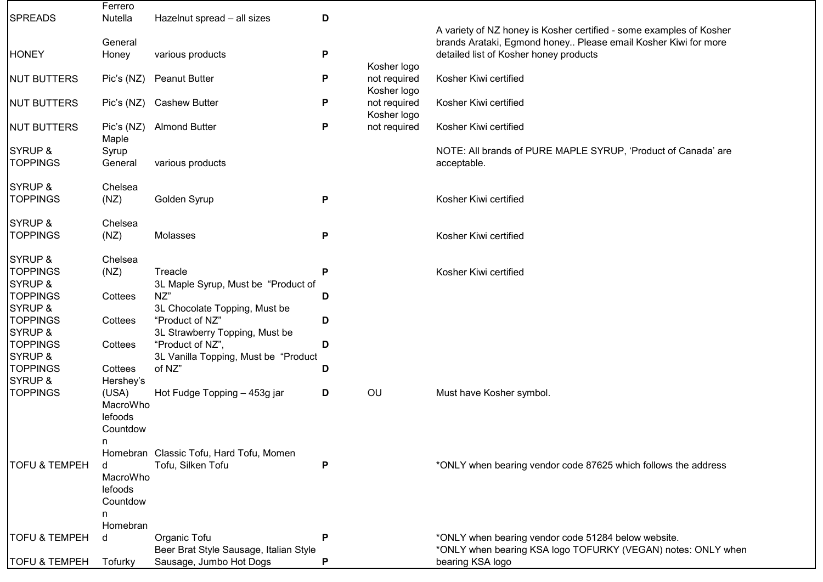|                          | Ferrero    |                                         |   |              |                                                                     |
|--------------------------|------------|-----------------------------------------|---|--------------|---------------------------------------------------------------------|
| <b>SPREADS</b>           | Nutella    | Hazelnut spread - all sizes             | D |              |                                                                     |
|                          |            |                                         |   |              | A variety of NZ honey is Kosher certified - some examples of Kosher |
|                          | General    |                                         |   |              | brands Arataki, Egmond honey Please email Kosher Kiwi for more      |
| <b>HONEY</b>             | Honey      | various products                        | P |              | detailed list of Kosher honey products                              |
|                          |            |                                         |   | Kosher logo  |                                                                     |
| <b>NUT BUTTERS</b>       | Pic's (NZ) | <b>Peanut Butter</b>                    | P | not required | Kosher Kiwi certified                                               |
|                          |            |                                         |   | Kosher logo  |                                                                     |
| <b>NUT BUTTERS</b>       | Pic's (NZ) | <b>Cashew Butter</b>                    | P | not required | Kosher Kiwi certified                                               |
|                          |            |                                         |   | Kosher logo  |                                                                     |
| <b>NUT BUTTERS</b>       | Pic's (NZ) | <b>Almond Butter</b>                    | Ρ | not required | Kosher Kiwi certified                                               |
|                          | Maple      |                                         |   |              |                                                                     |
| <b>SYRUP &amp;</b>       | Syrup      |                                         |   |              | NOTE: All brands of PURE MAPLE SYRUP, 'Product of Canada' are       |
| <b>TOPPINGS</b>          | General    | various products                        |   |              | acceptable.                                                         |
|                          |            |                                         |   |              |                                                                     |
| <b>SYRUP &amp;</b>       | Chelsea    |                                         |   |              |                                                                     |
| <b>TOPPINGS</b>          | (NZ)       | Golden Syrup                            | P |              | Kosher Kiwi certified                                               |
| <b>SYRUP &amp;</b>       | Chelsea    |                                         |   |              |                                                                     |
| <b>TOPPINGS</b>          | (NZ)       | Molasses                                | P |              | Kosher Kiwi certified                                               |
|                          |            |                                         |   |              |                                                                     |
| <b>SYRUP &amp;</b>       | Chelsea    |                                         |   |              |                                                                     |
| <b>TOPPINGS</b>          | (NZ)       | Treacle                                 | P |              | Kosher Kiwi certified                                               |
| <b>SYRUP &amp;</b>       |            | 3L Maple Syrup, Must be "Product of     |   |              |                                                                     |
| <b>TOPPINGS</b>          | Cottees    | NZ"                                     | D |              |                                                                     |
| <b>SYRUP &amp;</b>       |            | 3L Chocolate Topping, Must be           |   |              |                                                                     |
| <b>TOPPINGS</b>          | Cottees    | "Product of NZ"                         | D |              |                                                                     |
| <b>SYRUP &amp;</b>       |            | 3L Strawberry Topping, Must be          |   |              |                                                                     |
| <b>TOPPINGS</b>          | Cottees    | "Product of NZ",                        | D |              |                                                                     |
| SYRUP &                  |            | 3L Vanilla Topping, Must be "Product    |   |              |                                                                     |
| <b>TOPPINGS</b>          | Cottees    | of NZ"                                  | D |              |                                                                     |
| <b>SYRUP &amp;</b>       | Hershey's  |                                         |   |              |                                                                     |
| <b>TOPPINGS</b>          | (USA)      | Hot Fudge Topping - 453g jar            | D | OU           | Must have Kosher symbol.                                            |
|                          | MacroWho   |                                         |   |              |                                                                     |
|                          | lefoods    |                                         |   |              |                                                                     |
|                          | Countdow   |                                         |   |              |                                                                     |
|                          | n.         |                                         |   |              |                                                                     |
|                          |            | Homebran Classic Tofu, Hard Tofu, Momen |   |              |                                                                     |
| <b>TOFU &amp; TEMPEH</b> | d          | Tofu, Silken Tofu                       | P |              | *ONLY when bearing vendor code 87625 which follows the address      |
|                          | MacroWho   |                                         |   |              |                                                                     |
|                          | lefoods    |                                         |   |              |                                                                     |
|                          | Countdow   |                                         |   |              |                                                                     |
|                          | n          |                                         |   |              |                                                                     |
|                          | Homebran   |                                         |   |              |                                                                     |
| <b>TOFU &amp; TEMPEH</b> | d          | Organic Tofu                            | P |              | *ONLY when bearing vendor code 51284 below website.                 |
|                          |            | Beer Brat Style Sausage, Italian Style  |   |              | *ONLY when bearing KSA logo TOFURKY (VEGAN) notes: ONLY when        |
| <b>TOFU &amp; TEMPEH</b> | Tofurky    | Sausage, Jumbo Hot Dogs                 | P |              | bearing KSA logo                                                    |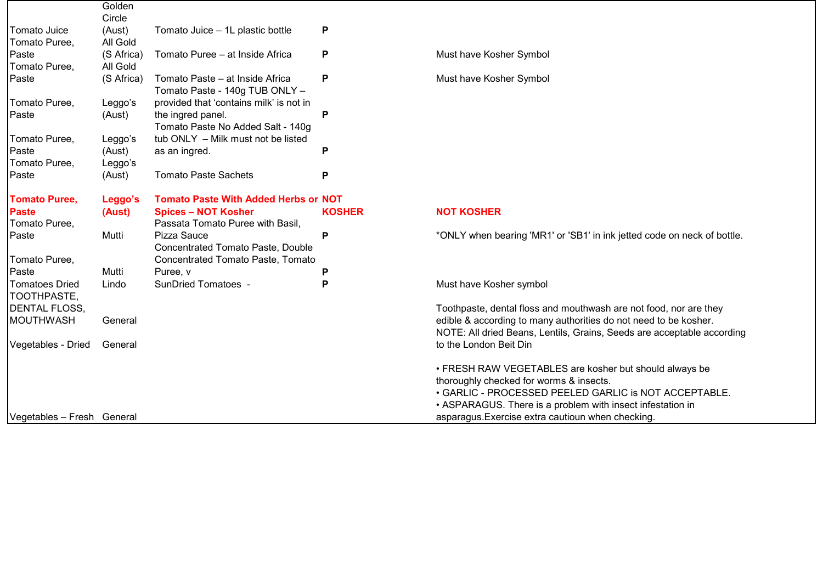|                            | Golden     |                                             |               |                                                                         |
|----------------------------|------------|---------------------------------------------|---------------|-------------------------------------------------------------------------|
|                            | Circle     |                                             |               |                                                                         |
| Tomato Juice               | (Aust)     | Tomato Juice - 1L plastic bottle            | P             |                                                                         |
| Tomato Puree,              | All Gold   |                                             |               |                                                                         |
| Paste                      | (S Africa) | Tomato Puree - at Inside Africa             | P             | Must have Kosher Symbol                                                 |
| Tomato Puree,              | All Gold   |                                             |               |                                                                         |
| Paste                      | (S Africa) | Tomato Paste - at Inside Africa             | P             | Must have Kosher Symbol                                                 |
|                            |            | Tomato Paste - 140g TUB ONLY -              |               |                                                                         |
| Tomato Puree,              | Leggo's    | provided that 'contains milk' is not in     |               |                                                                         |
| <b>Paste</b>               | (Aust)     | the ingred panel.                           | P             |                                                                         |
|                            |            | Tomato Paste No Added Salt - 140g           |               |                                                                         |
| Tomato Puree,              | Leggo's    | tub ONLY - Milk must not be listed          |               |                                                                         |
| Paste                      | (Aust)     | as an ingred.                               | P             |                                                                         |
| Tomato Puree,              | Leggo's    |                                             |               |                                                                         |
| Paste                      | (Aust)     | <b>Tomato Paste Sachets</b>                 | P             |                                                                         |
| <b>Tomato Puree,</b>       | Leggo's    | <b>Tomato Paste With Added Herbs or NOT</b> |               |                                                                         |
| <b>Paste</b>               | (Aust)     | <b>Spices - NOT Kosher</b>                  | <b>KOSHER</b> | <b>NOT KOSHER</b>                                                       |
| Tomato Puree,              |            | Passata Tomato Puree with Basil,            |               |                                                                         |
| Paste                      | Mutti      | Pizza Sauce                                 | P             | *ONLY when bearing 'MR1' or 'SB1' in ink jetted code on neck of bottle. |
|                            |            | Concentrated Tomato Paste, Double           |               |                                                                         |
| Tomato Puree,              |            | Concentrated Tomato Paste, Tomato           |               |                                                                         |
| Paste                      | Mutti      | Puree, v                                    | Р             |                                                                         |
| <b>Tomatoes Dried</b>      | Lindo      | SunDried Tomatoes -                         | Р             | Must have Kosher symbol                                                 |
| TOOTHPASTE,                |            |                                             |               |                                                                         |
| <b>DENTAL FLOSS,</b>       |            |                                             |               | Toothpaste, dental floss and mouthwash are not food, nor are they       |
| MOUTHWASH                  | General    |                                             |               | edible & according to many authorities do not need to be kosher.        |
|                            |            |                                             |               | NOTE: All dried Beans, Lentils, Grains, Seeds are acceptable according  |
| Vegetables - Dried         | General    |                                             |               | to the London Beit Din                                                  |
|                            |            |                                             |               | • FRESH RAW VEGETABLES are kosher but should always be                  |
|                            |            |                                             |               | thoroughly checked for worms & insects.                                 |
|                            |            |                                             |               | • GARLIC - PROCESSED PEELED GARLIC is NOT ACCEPTABLE.                   |
|                            |            |                                             |               | • ASPARAGUS. There is a problem with insect infestation in              |
| Vegetables - Fresh General |            |                                             |               | asparagus. Exercise extra cautioun when checking.                       |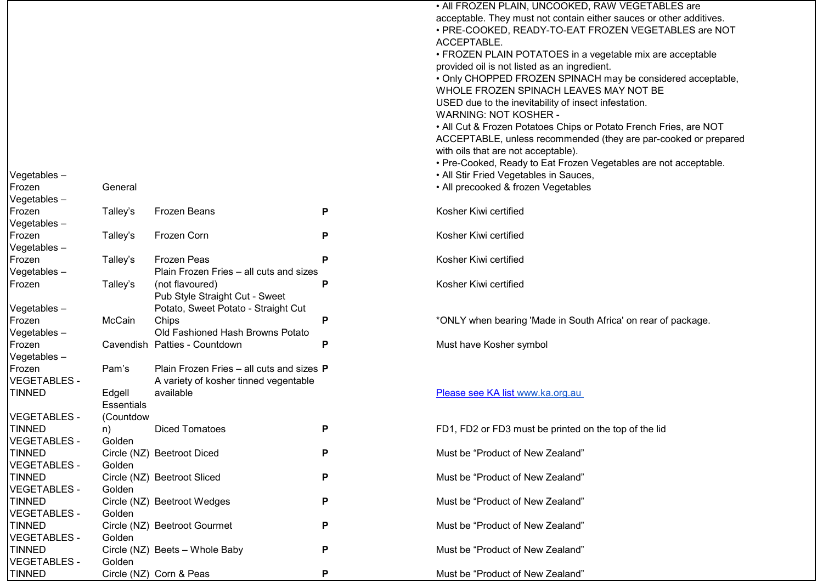|                     |                   |                                           |   | • All FROZEN PLAIN, UNCOOKED, RAW VEGETABLES are                                     |
|---------------------|-------------------|-------------------------------------------|---|--------------------------------------------------------------------------------------|
|                     |                   |                                           |   | acceptable. They must not contain either sauces or other additives.                  |
|                     |                   |                                           |   | · PRE-COOKED, READY-TO-EAT FROZEN VEGETABLES are NOT                                 |
|                     |                   |                                           |   | ACCEPTABLE.                                                                          |
|                     |                   |                                           |   | • FROZEN PLAIN POTATOES in a vegetable mix are acceptable                            |
|                     |                   |                                           |   | provided oil is not listed as an ingredient.                                         |
|                     |                   |                                           |   | • Only CHOPPED FROZEN SPINACH may be considered acceptable,                          |
|                     |                   |                                           |   | WHOLE FROZEN SPINACH LEAVES MAY NOT BE                                               |
|                     |                   |                                           |   | USED due to the inevitability of insect infestation.<br><b>WARNING: NOT KOSHER -</b> |
|                     |                   |                                           |   | • All Cut & Frozen Potatoes Chips or Potato French Fries, are NOT                    |
|                     |                   |                                           |   | ACCEPTABLE, unless recommended (they are par-cooked or prepared                      |
|                     |                   |                                           |   | with oils that are not acceptable).                                                  |
|                     |                   |                                           |   | • Pre-Cooked, Ready to Eat Frozen Vegetables are not acceptable.                     |
| Vegetables-         |                   |                                           |   | • All Stir Fried Vegetables in Sauces,                                               |
| Frozen              | General           |                                           |   | • All precooked & frozen Vegetables                                                  |
| Vegetables-         |                   |                                           |   |                                                                                      |
| Frozen              | Talley's          | Frozen Beans                              | P | Kosher Kiwi certified                                                                |
| Vegetables-         |                   |                                           |   |                                                                                      |
| Frozen              | Talley's          | Frozen Corn                               | P | Kosher Kiwi certified                                                                |
| Vegetables-         |                   |                                           |   |                                                                                      |
| Frozen              | Talley's          | <b>Frozen Peas</b>                        | P | Kosher Kiwi certified                                                                |
| Vegetables-         |                   | Plain Frozen Fries - all cuts and sizes   |   |                                                                                      |
| Frozen              | Talley's          | (not flavoured)                           | P | Kosher Kiwi certified                                                                |
|                     |                   | Pub Style Straight Cut - Sweet            |   |                                                                                      |
| Vegetables-         |                   | Potato, Sweet Potato - Straight Cut       |   |                                                                                      |
| Frozen              | McCain            | Chips                                     | P | *ONLY when bearing 'Made in South Africa' on rear of package.                        |
| Vegetables-         |                   | Old Fashioned Hash Browns Potato          |   |                                                                                      |
| Frozen              |                   | Cavendish Patties - Countdown             | P | Must have Kosher symbol                                                              |
| Vegetables-         |                   |                                           |   |                                                                                      |
| Frozen              | Pam's             | Plain Frozen Fries - all cuts and sizes P |   |                                                                                      |
| <b>VEGETABLES -</b> |                   | A variety of kosher tinned vegentable     |   |                                                                                      |
| <b>TINNED</b>       | Edgell            | available                                 |   | Please see KA list www.ka.org.au                                                     |
|                     | <b>Essentials</b> |                                           |   |                                                                                      |
| <b>VEGETABLES -</b> | (Countdow         |                                           |   |                                                                                      |
| <b>TINNED</b>       | n)                | <b>Diced Tomatoes</b>                     | P | FD1, FD2 or FD3 must be printed on the top of the lid                                |
| <b>VEGETABLES -</b> | Golden            |                                           |   |                                                                                      |
| <b>TINNED</b>       |                   | Circle (NZ) Beetroot Diced                | P | Must be "Product of New Zealand"                                                     |
| <b>VEGETABLES -</b> | Golden            |                                           |   |                                                                                      |
| <b>TINNED</b>       |                   | Circle (NZ) Beetroot Sliced               | P | Must be "Product of New Zealand"                                                     |
| <b>VEGETABLES -</b> | Golden            |                                           |   |                                                                                      |
| <b>TINNED</b>       |                   | Circle (NZ) Beetroot Wedges               | P | Must be "Product of New Zealand"                                                     |
| <b>VEGETABLES -</b> | Golden            |                                           |   |                                                                                      |
| <b>TINNED</b>       |                   | Circle (NZ) Beetroot Gourmet              | P | Must be "Product of New Zealand"                                                     |
| <b>VEGETABLES -</b> | Golden            |                                           |   |                                                                                      |
| <b>TINNED</b>       |                   | Circle (NZ) Beets - Whole Baby            | P | Must be "Product of New Zealand"                                                     |
| <b>VEGETABLES -</b> | Golden            |                                           |   |                                                                                      |
| <b>TINNED</b>       |                   | Circle (NZ) Corn & Peas                   | P | Must be "Product of New Zealand"                                                     |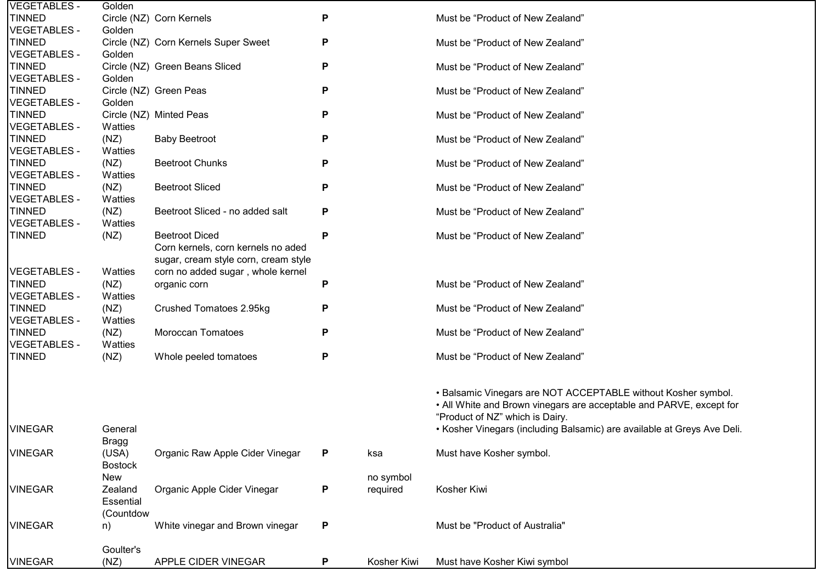| <b>VEGETABLES -</b>                  | Golden          |                                      |   |             |                                                                         |
|--------------------------------------|-----------------|--------------------------------------|---|-------------|-------------------------------------------------------------------------|
| <b>TINNED</b>                        |                 | Circle (NZ) Corn Kernels             | Ρ |             | Must be "Product of New Zealand"                                        |
| <b>VEGETABLES -</b>                  | Golden          |                                      |   |             |                                                                         |
| <b>TINNED</b>                        |                 | Circle (NZ) Corn Kernels Super Sweet | Ρ |             | Must be "Product of New Zealand"                                        |
| <b>VEGETABLES -</b>                  | Golden          |                                      |   |             |                                                                         |
| <b>TINNED</b>                        |                 | Circle (NZ) Green Beans Sliced       | Ρ |             | Must be "Product of New Zealand"                                        |
| <b>VEGETABLES -</b>                  | Golden          |                                      |   |             |                                                                         |
| <b>TINNED</b>                        |                 | Circle (NZ) Green Peas               | Ρ |             | Must be "Product of New Zealand"                                        |
| <b>VEGETABLES -</b>                  | Golden          |                                      |   |             |                                                                         |
| <b>TINNED</b>                        |                 | Circle (NZ) Minted Peas              | Ρ |             | Must be "Product of New Zealand"                                        |
| <b>VEGETABLES -</b>                  | Watties         |                                      |   |             |                                                                         |
| <b>TINNED</b>                        | (NZ)            | <b>Baby Beetroot</b>                 | P |             | Must be "Product of New Zealand"                                        |
| <b>VEGETABLES -</b>                  | Watties         |                                      |   |             |                                                                         |
| <b>TINNED</b>                        | (NZ)            | <b>Beetroot Chunks</b>               | Ρ |             | Must be "Product of New Zealand"                                        |
| <b>VEGETABLES -</b>                  | Watties         |                                      |   |             |                                                                         |
| <b>TINNED</b>                        | (NZ)            | <b>Beetroot Sliced</b>               | P |             | Must be "Product of New Zealand"                                        |
| <b>VEGETABLES -</b>                  | Watties         |                                      |   |             |                                                                         |
| <b>TINNED</b>                        | (NZ)            | Beetroot Sliced - no added salt      | P |             | Must be "Product of New Zealand"                                        |
| <b>VEGETABLES -</b>                  | Watties         |                                      |   |             |                                                                         |
| <b>TINNED</b>                        | (NZ)            | <b>Beetroot Diced</b>                | P |             | Must be "Product of New Zealand"                                        |
|                                      |                 | Corn kernels, corn kernels no aded   |   |             |                                                                         |
|                                      |                 | sugar, cream style corn, cream style |   |             |                                                                         |
| <b>VEGETABLES -</b>                  | Watties         | corn no added sugar, whole kernel    |   |             | Must be "Product of New Zealand"                                        |
| <b>TINNED</b><br><b>VEGETABLES -</b> | (NZ)            | organic corn                         | P |             |                                                                         |
| <b>TINNED</b>                        | Watties<br>(NZ) | Crushed Tomatoes 2.95kg              | P |             | Must be "Product of New Zealand"                                        |
| <b>VEGETABLES -</b>                  | Watties         |                                      |   |             |                                                                         |
| <b>TINNED</b>                        | (NZ)            | Moroccan Tomatoes                    | P |             | Must be "Product of New Zealand"                                        |
| <b>VEGETABLES -</b>                  | Watties         |                                      |   |             |                                                                         |
| <b>TINNED</b>                        | (NZ)            | Whole peeled tomatoes                | P |             | Must be "Product of New Zealand"                                        |
|                                      |                 |                                      |   |             |                                                                         |
|                                      |                 |                                      |   |             |                                                                         |
|                                      |                 |                                      |   |             | • Balsamic Vinegars are NOT ACCEPTABLE without Kosher symbol.           |
|                                      |                 |                                      |   |             | • All White and Brown vinegars are acceptable and PARVE, except for     |
|                                      |                 |                                      |   |             | "Product of NZ" which is Dairy.                                         |
| <b>VINEGAR</b>                       | General         |                                      |   |             | • Kosher Vinegars (including Balsamic) are available at Greys Ave Deli. |
|                                      | Bragg           |                                      |   |             |                                                                         |
| <b>VINEGAR</b>                       | (USA)           | Organic Raw Apple Cider Vinegar      | P | ksa         | Must have Kosher symbol.                                                |
|                                      | <b>Bostock</b>  |                                      |   |             |                                                                         |
|                                      | New             |                                      |   | no symbol   |                                                                         |
| <b>VINEGAR</b>                       | Zealand         | Organic Apple Cider Vinegar          | P | required    | Kosher Kiwi                                                             |
|                                      | Essential       |                                      |   |             |                                                                         |
|                                      | (Countdow       |                                      |   |             |                                                                         |
| <b>VINEGAR</b>                       | n)              | White vinegar and Brown vinegar      | P |             | Must be "Product of Australia"                                          |
|                                      |                 |                                      |   |             |                                                                         |
|                                      | Goulter's       |                                      |   |             |                                                                         |
| <b>VINEGAR</b>                       | (NZ)            | APPLE CIDER VINEGAR                  | P | Kosher Kiwi | Must have Kosher Kiwi symbol                                            |